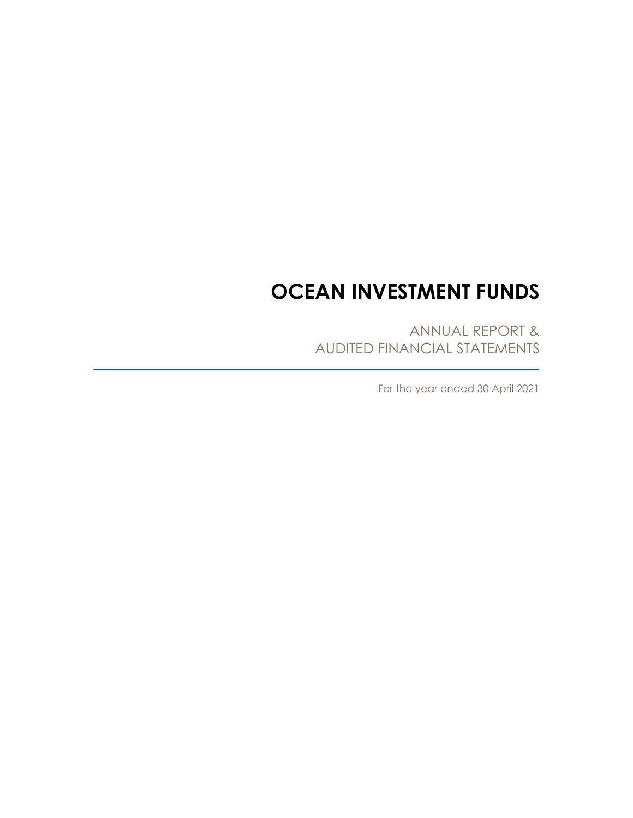# **OCEAN INVESTMENT FUNDS**

ANNUAL REPORT & AUDITED FINANCIAL STATEMENTS

For the year ended 30 April 2021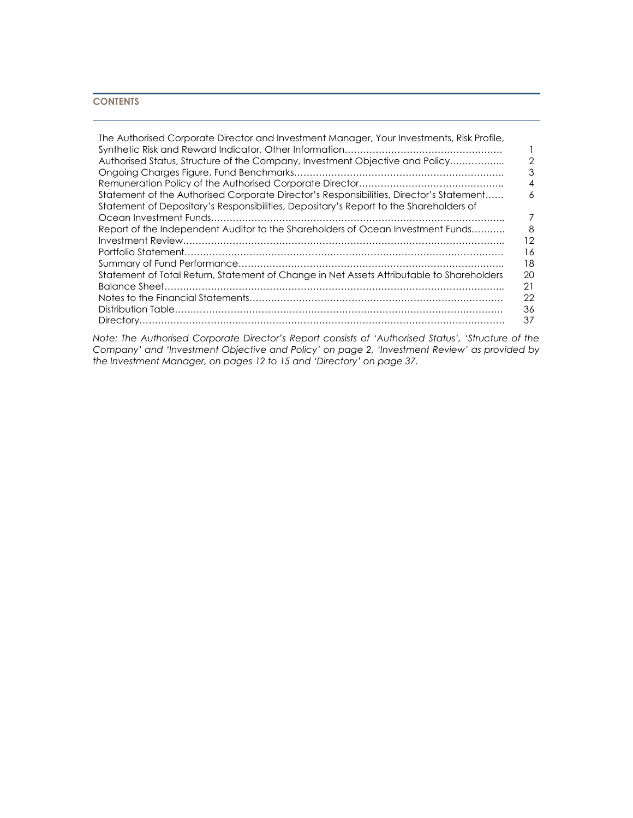# **CONTENTS**

| The Authorised Corporate Director and Investment Manager, Your Investments, Risk Profile, |    |
|-------------------------------------------------------------------------------------------|----|
|                                                                                           |    |
| Authorised Status, Structure of the Company, Investment Objective and Policy              | 2  |
|                                                                                           |    |
|                                                                                           |    |
| Statement of the Authorised Corporate Director's Responsibilities, Director's Statement   | 6  |
| Statement of Depositary's Responsibilities, Depositary's Report to the Shareholders of    |    |
|                                                                                           |    |
| Report of the Independent Auditor to the Shareholders of Ocean Investment Funds           | 8  |
|                                                                                           | 12 |
|                                                                                           | 16 |
|                                                                                           | 18 |
| Statement of Total Return, Statement of Change in Net Assets Attributable to Shareholders | 20 |
|                                                                                           | 21 |
|                                                                                           | 22 |
|                                                                                           | 36 |
|                                                                                           | 37 |

*Note: The Authorised Corporate Director's Report consists of 'Authorised Status', 'Structure of the Company' and 'Investment Objective and Policy' on page 2, 'Investment Review' as provided by the Investment Manager, on pages 12 to 15 and 'Directory' on page 37.*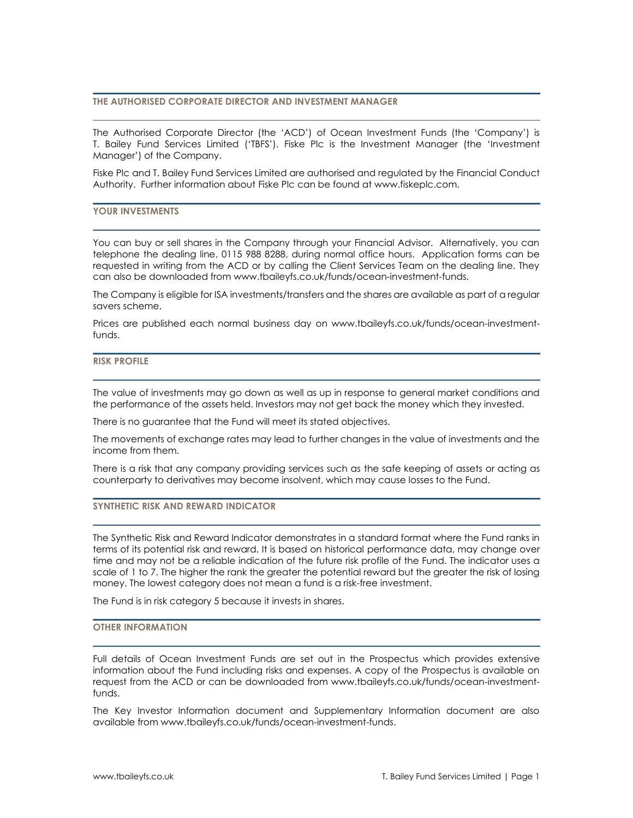# **THE AUTHORISED CORPORATE DIRECTOR AND INVESTMENT MANAGER**

The Authorised Corporate Director (the 'ACD') of Ocean Investment Funds (the 'Company') is T. Bailey Fund Services Limited ('TBFS'). Fiske Plc is the Investment Manager (the 'Investment Manager') of the Company.

Fiske Plc and T. Bailey Fund Services Limited are authorised and regulated by the Financial Conduct Authority. Further information about Fiske Plc can be found at www.fiskeplc.com.

# **YOUR INVESTMENTS**

You can buy or sell shares in the Company through your Financial Advisor. Alternatively, you can telephone the dealing line, 0115 988 8288, during normal office hours. Application forms can be requested in writing from the ACD or by calling the Client Services Team on the dealing line. They can also be downloaded from www.tbaileyfs.co.uk/funds/ocean-investment-funds.

The Company is eligible for ISA investments/transfers and the shares are available as part of a regular savers scheme.

Prices are published each normal business day on www.tbaileyfs.co.uk/funds/ocean-investmentfunds.

#### **RISK PROFILE**

The value of investments may go down as well as up in response to general market conditions and the performance of the assets held. Investors may not get back the money which they invested.

There is no guarantee that the Fund will meet its stated objectives.

The movements of exchange rates may lead to further changes in the value of investments and the income from them.

There is a risk that any company providing services such as the safe keeping of assets or acting as counterparty to derivatives may become insolvent, which may cause losses to the Fund.

# **SYNTHETIC RISK AND REWARD INDICATOR**

The Synthetic Risk and Reward Indicator demonstrates in a standard format where the Fund ranks in terms of its potential risk and reward. It is based on historical performance data, may change over time and may not be a reliable indication of the future risk profile of the Fund. The indicator uses a scale of 1 to 7. The higher the rank the greater the potential reward but the greater the risk of losing money. The lowest category does not mean a fund is a risk-free investment.

The Fund is in risk category 5 because it invests in shares.

#### **OTHER INFORMATION**

Full details of Ocean Investment Funds are set out in the Prospectus which provides extensive information about the Fund including risks and expenses. A copy of the Prospectus is available on request from the ACD or can be downloaded from www.tbaileyfs.co.uk/funds/ocean-investmentfunds.

The Key Investor Information document and Supplementary Information document are also available from www.tbaileyfs.co.uk/funds/ocean-investment-funds.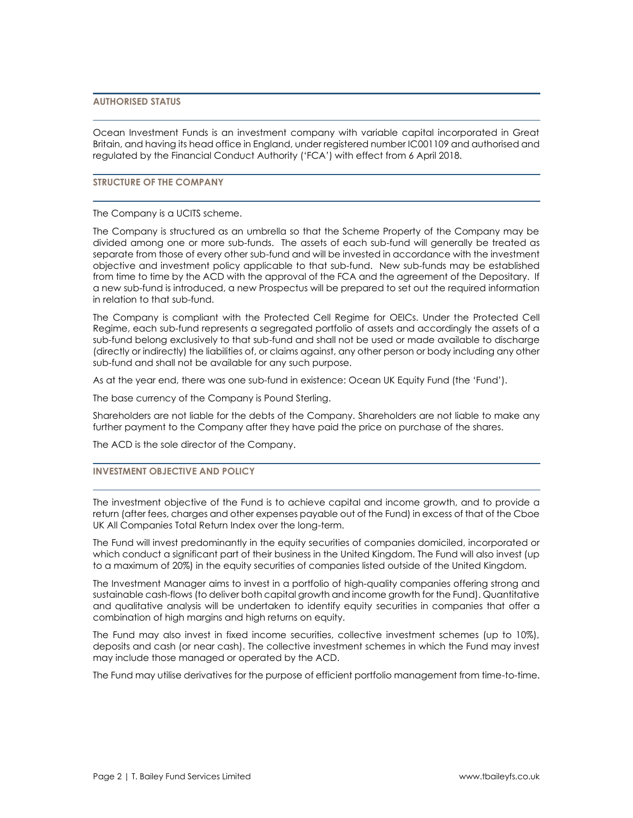# **AUTHORISED STATUS**

Ocean Investment Funds is an investment company with variable capital incorporated in Great Britain, and having its head office in England, under registered number IC001109 and authorised and regulated by the Financial Conduct Authority ('FCA') with effect from 6 April 2018.

# **STRUCTURE OF THE COMPANY**

The Company is a UCITS scheme.

The Company is structured as an umbrella so that the Scheme Property of the Company may be divided among one or more sub-funds. The assets of each sub-fund will generally be treated as separate from those of every other sub-fund and will be invested in accordance with the investment objective and investment policy applicable to that sub-fund. New sub-funds may be established from time to time by the ACD with the approval of the FCA and the agreement of the Depositary. If a new sub-fund is introduced, a new Prospectus will be prepared to set out the required information in relation to that sub-fund.

The Company is compliant with the Protected Cell Regime for OEICs. Under the Protected Cell Regime, each sub-fund represents a segregated portfolio of assets and accordingly the assets of a sub-fund belong exclusively to that sub-fund and shall not be used or made available to discharge (directly or indirectly) the liabilities of, or claims against, any other person or body including any other sub-fund and shall not be available for any such purpose.

As at the year end, there was one sub-fund in existence: Ocean UK Equity Fund (the 'Fund').

The base currency of the Company is Pound Sterling.

Shareholders are not liable for the debts of the Company. Shareholders are not liable to make any further payment to the Company after they have paid the price on purchase of the shares.

The ACD is the sole director of the Company.

# **INVESTMENT OBJECTIVE AND POLICY**

The investment objective of the Fund is to achieve capital and income growth, and to provide a return (after fees, charges and other expenses payable out of the Fund) in excess of that of the Cboe UK All Companies Total Return Index over the long-term.

The Fund will invest predominantly in the equity securities of companies domiciled, incorporated or which conduct a significant part of their business in the United Kingdom. The Fund will also invest (up to a maximum of 20%) in the equity securities of companies listed outside of the United Kingdom.

The Investment Manager aims to invest in a portfolio of high-quality companies offering strong and sustainable cash-flows (to deliver both capital growth and income growth for the Fund). Quantitative and qualitative analysis will be undertaken to identify equity securities in companies that offer a combination of high margins and high returns on equity.

The Fund may also invest in fixed income securities, collective investment schemes (up to 10%), deposits and cash (or near cash). The collective investment schemes in which the Fund may invest may include those managed or operated by the ACD.

The Fund may utilise derivatives for the purpose of efficient portfolio management from time-to-time.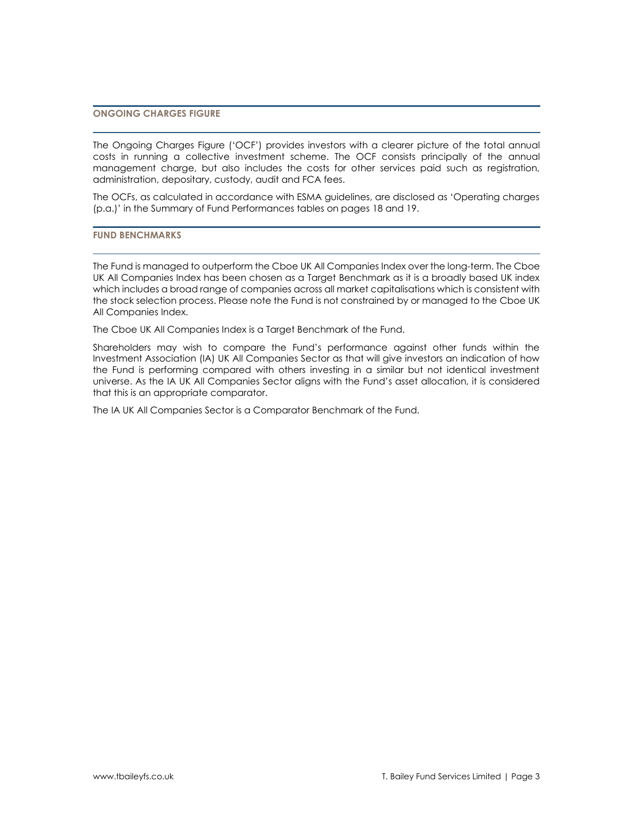# **ONGOING CHARGES FIGURE**

The Ongoing Charges Figure ('OCF') provides investors with a clearer picture of the total annual costs in running a collective investment scheme. The OCF consists principally of the annual management charge, but also includes the costs for other services paid such as registration, administration, depositary, custody, audit and FCA fees.

The OCFs, as calculated in accordance with ESMA guidelines, are disclosed as 'Operating charges (p.a.)' in the Summary of Fund Performances tables on pages 18 and 19.

**FUND BENCHMARKS**

The Fund is managed to outperform the Cboe UK All Companies Index over the long-term. The Cboe UK All Companies Index has been chosen as a Target Benchmark as it is a broadly based UK index which includes a broad range of companies across all market capitalisations which is consistent with the stock selection process. Please note the Fund is not constrained by or managed to the Cboe UK All Companies Index.

The Cboe UK All Companies Index is a Target Benchmark of the Fund.

Shareholders may wish to compare the Fund's performance against other funds within the Investment Association (IA) UK All Companies Sector as that will give investors an indication of how the Fund is performing compared with others investing in a similar but not identical investment universe. As the IA UK All Companies Sector aligns with the Fund's asset allocation, it is considered that this is an appropriate comparator.

The IA UK All Companies Sector is a Comparator Benchmark of the Fund.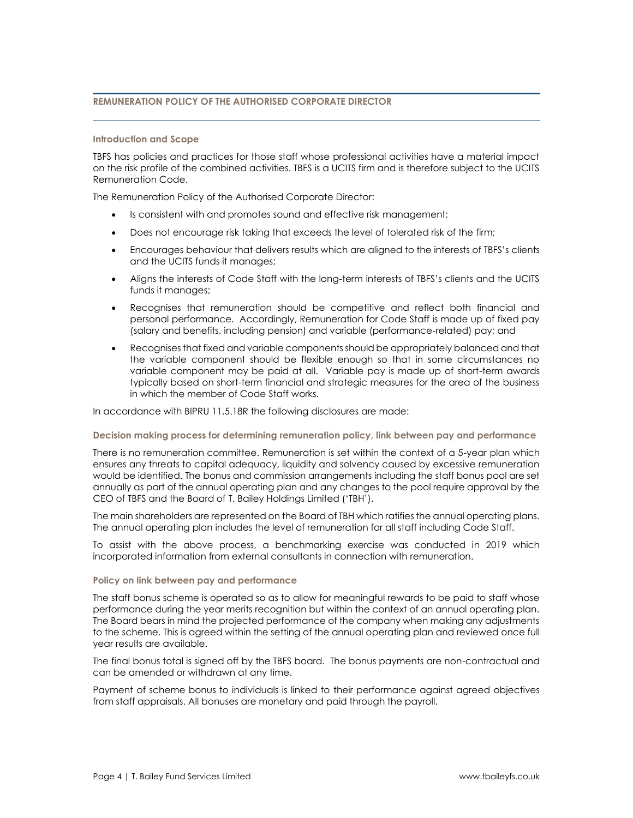# **REMUNERATION POLICY OF THE AUTHORISED CORPORATE DIRECTOR**

#### **Introduction and Scope**

TBFS has policies and practices for those staff whose professional activities have a material impact on the risk profile of the combined activities. TBFS is a UCITS firm and is therefore subject to the UCITS Remuneration Code.

The Remuneration Policy of the Authorised Corporate Director:

- Is consistent with and promotes sound and effective risk management;
- Does not encourage risk taking that exceeds the level of tolerated risk of the firm;
- Encourages behaviour that delivers results which are aligned to the interests of TBFS's clients and the UCITS funds it manages;
- Aligns the interests of Code Staff with the long-term interests of TBFS's clients and the UCITS funds it manages;
- Recognises that remuneration should be competitive and reflect both financial and personal performance. Accordingly, Remuneration for Code Staff is made up of fixed pay (salary and benefits, including pension) and variable (performance-related) pay; and
- Recognises that fixed and variable components should be appropriately balanced and that the variable component should be flexible enough so that in some circumstances no variable component may be paid at all. Variable pay is made up of short-term awards typically based on short-term financial and strategic measures for the area of the business in which the member of Code Staff works.

In accordance with BIPRU 11.5.18R the following disclosures are made:

# **Decision making process for determining remuneration policy, link between pay and performance**

There is no remuneration committee. Remuneration is set within the context of a 5-year plan which ensures any threats to capital adequacy, liquidity and solvency caused by excessive remuneration would be identified. The bonus and commission arrangements including the staff bonus pool are set annually as part of the annual operating plan and any changes to the pool require approval by the CEO of TBFS and the Board of T. Bailey Holdings Limited ('TBH').

The main shareholders are represented on the Board of TBH which ratifies the annual operating plans. The annual operating plan includes the level of remuneration for all staff including Code Staff.

To assist with the above process, a benchmarking exercise was conducted in 2019 which incorporated information from external consultants in connection with remuneration.

# **Policy on link between pay and performance**

The staff bonus scheme is operated so as to allow for meaningful rewards to be paid to staff whose performance during the year merits recognition but within the context of an annual operating plan. The Board bears in mind the projected performance of the company when making any adjustments to the scheme. This is agreed within the setting of the annual operating plan and reviewed once full year results are available.

The final bonus total is signed off by the TBFS board. The bonus payments are non-contractual and can be amended or withdrawn at any time.

Payment of scheme bonus to individuals is linked to their performance against agreed objectives from staff appraisals. All bonuses are monetary and paid through the payroll.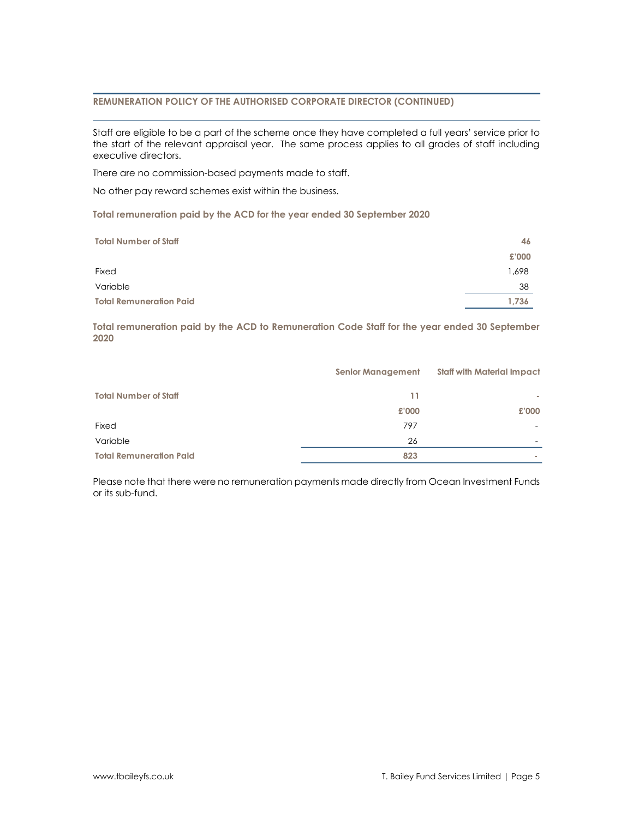# **REMUNERATION POLICY OF THE AUTHORISED CORPORATE DIRECTOR (CONTINUED)**

Staff are eligible to be a part of the scheme once they have completed a full years' service prior to the start of the relevant appraisal year. The same process applies to all grades of staff including executive directors.

There are no commission-based payments made to staff.

No other pay reward schemes exist within the business.

**Total remuneration paid by the ACD for the year ended 30 September 2020**

| <b>Total Number of Staff</b>   | 46    |
|--------------------------------|-------|
|                                | £'000 |
| Fixed                          | 1,698 |
| Variable                       | 38    |
| <b>Total Remuneration Paid</b> | 1.736 |

**Total remuneration paid by the ACD to Remuneration Code Staff for the year ended 30 September 2020**

|                                | <b>Senior Management</b> | <b>Staff with Material Impact</b> |
|--------------------------------|--------------------------|-----------------------------------|
|                                |                          |                                   |
| <b>Total Number of Staff</b>   | 11                       |                                   |
|                                | £'000                    | £'000                             |
| Fixed                          | 797                      |                                   |
| Variable                       | 26                       |                                   |
| <b>Total Remuneration Paid</b> | 823                      | $\sim$                            |

Please note that there were no remuneration payments made directly from Ocean Investment Funds or its sub-fund.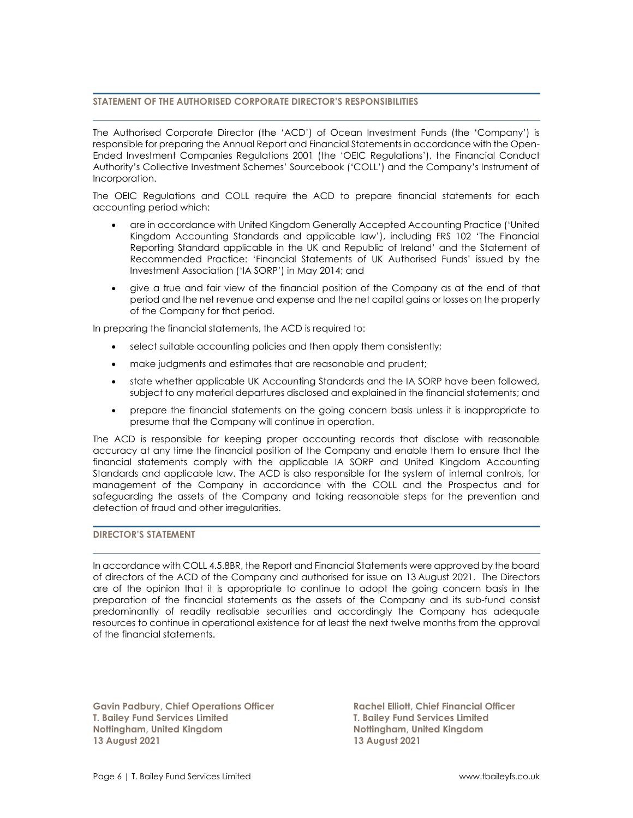# **STATEMENT OF THE AUTHORISED CORPORATE DIRECTOR'S RESPONSIBILITIES**

The Authorised Corporate Director (the 'ACD') of Ocean Investment Funds (the 'Company') is responsible for preparing the Annual Report and Financial Statements in accordance with the Open-Ended Investment Companies Regulations 2001 (the 'OEIC Regulations'), the Financial Conduct Authority's Collective Investment Schemes' Sourcebook ('COLL') and the Company's Instrument of Incorporation.

The OEIC Regulations and COLL require the ACD to prepare financial statements for each accounting period which:

- are in accordance with United Kingdom Generally Accepted Accounting Practice ('United Kingdom Accounting Standards and applicable law'), including FRS 102 'The Financial Reporting Standard applicable in the UK and Republic of Ireland' and the Statement of Recommended Practice: 'Financial Statements of UK Authorised Funds' issued by the Investment Association ('IA SORP') in May 2014; and
- give a true and fair view of the financial position of the Company as at the end of that period and the net revenue and expense and the net capital gains or losses on the property of the Company for that period.

In preparing the financial statements, the ACD is required to:

- select suitable accounting policies and then apply them consistently;
- make judgments and estimates that are reasonable and prudent;
- state whether applicable UK Accounting Standards and the IA SORP have been followed, subject to any material departures disclosed and explained in the financial statements; and
- prepare the financial statements on the going concern basis unless it is inappropriate to presume that the Company will continue in operation.

The ACD is responsible for keeping proper accounting records that disclose with reasonable accuracy at any time the financial position of the Company and enable them to ensure that the financial statements comply with the applicable IA SORP and United Kingdom Accounting Standards and applicable law. The ACD is also responsible for the system of internal controls, for management of the Company in accordance with the COLL and the Prospectus and for safeguarding the assets of the Company and taking reasonable steps for the prevention and detection of fraud and other irregularities.

# **DIRECTOR'S STATEMENT**

In accordance with COLL 4.5.8BR, the Report and Financial Statements were approved by the board of directors of the ACD of the Company and authorised for issue on 13 August 2021. The Directors are of the opinion that it is appropriate to continue to adopt the going concern basis in the preparation of the financial statements as the assets of the Company and its sub-fund consist predominantly of readily realisable securities and accordingly the Company has adequate resources to continue in operational existence for at least the next twelve months from the approval of the financial statements.

**Gavin Padbury, Chief Operations Officer Rachel Elliott, Chief Financial Officer T. Bailey Fund Services Limited T. Bailey Fund Services Limited Nottingham, United Kingdom Nottingham, United Kingdom 13 August 2021 13 August 2021**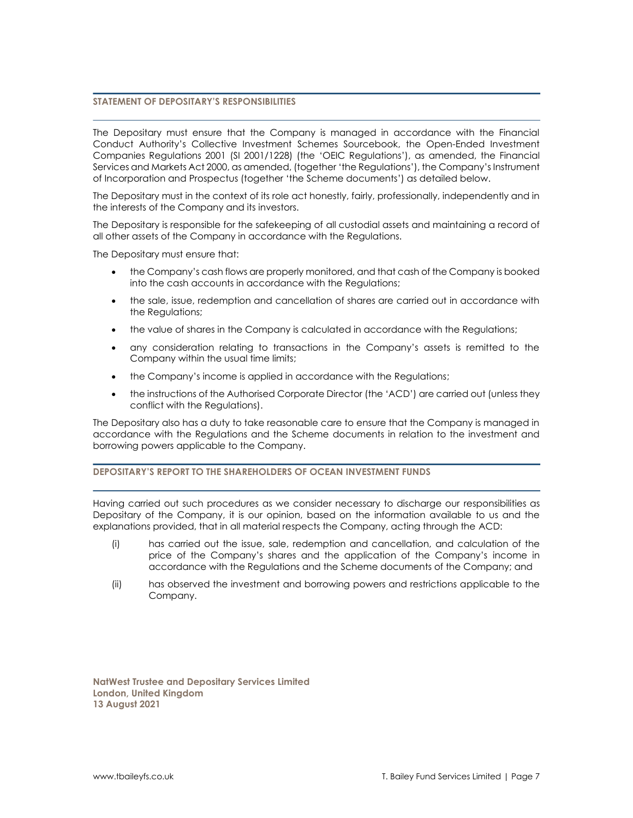# **STATEMENT OF DEPOSITARY'S RESPONSIBILITIES**

The Depositary must ensure that the Company is managed in accordance with the Financial Conduct Authority's Collective Investment Schemes Sourcebook, the Open-Ended Investment Companies Regulations 2001 (SI 2001/1228) (the 'OEIC Regulations'), as amended, the Financial Services and Markets Act 2000, as amended, (together 'the Regulations'), the Company's Instrument of Incorporation and Prospectus (together 'the Scheme documents') as detailed below.

The Depositary must in the context of its role act honestly, fairly, professionally, independently and in the interests of the Company and its investors.

The Depositary is responsible for the safekeeping of all custodial assets and maintaining a record of all other assets of the Company in accordance with the Regulations.

The Depositary must ensure that:

- the Company's cash flows are properly monitored, and that cash of the Company is booked into the cash accounts in accordance with the Regulations;
- the sale, issue, redemption and cancellation of shares are carried out in accordance with the Regulations;
- the value of shares in the Company is calculated in accordance with the Regulations;
- any consideration relating to transactions in the Company's assets is remitted to the Company within the usual time limits;
- the Company's income is applied in accordance with the Regulations;
- the instructions of the Authorised Corporate Director (the 'ACD') are carried out (unless they conflict with the Regulations).

The Depositary also has a duty to take reasonable care to ensure that the Company is managed in accordance with the Regulations and the Scheme documents in relation to the investment and borrowing powers applicable to the Company.

# **DEPOSITARY'S REPORT TO THE SHAREHOLDERS OF OCEAN INVESTMENT FUNDS**

Having carried out such procedures as we consider necessary to discharge our responsibilities as Depositary of the Company, it is our opinion, based on the information available to us and the explanations provided, that in all material respects the Company, acting through the ACD:

- (i) has carried out the issue, sale, redemption and cancellation, and calculation of the price of the Company's shares and the application of the Company's income in accordance with the Regulations and the Scheme documents of the Company; and
- (ii) has observed the investment and borrowing powers and restrictions applicable to the Company.

**NatWest Trustee and Depositary Services Limited London, United Kingdom 13 August 2021**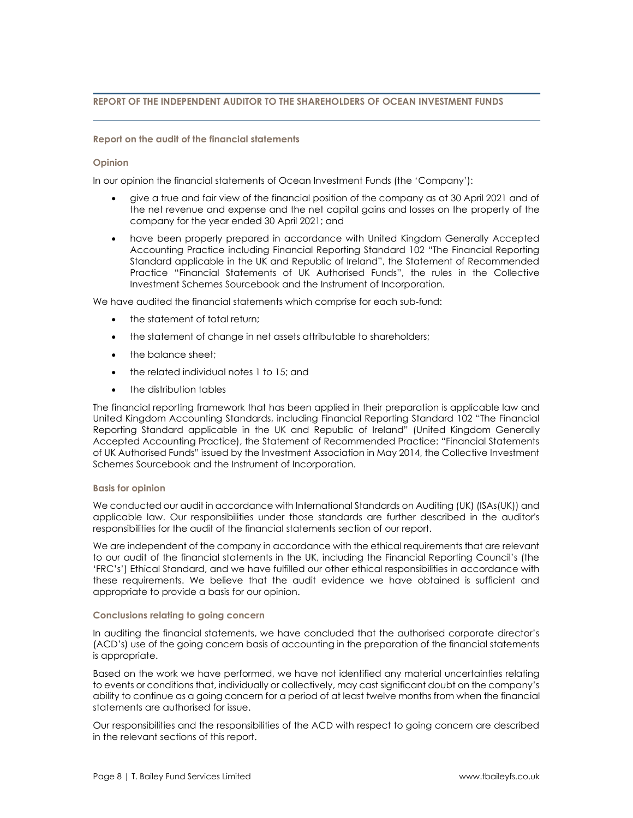# **REPORT OF THE INDEPENDENT AUDITOR TO THE SHAREHOLDERS OF OCEAN INVESTMENT FUNDS**

# **Report on the audit of the financial statements**

# **Opinion**

In our opinion the financial statements of Ocean Investment Funds (the 'Company'):

- give a true and fair view of the financial position of the company as at 30 April 2021 and of the net revenue and expense and the net capital gains and losses on the property of the company for the year ended 30 April 2021; and
- have been properly prepared in accordance with United Kingdom Generally Accepted Accounting Practice including Financial Reporting Standard 102 "The Financial Reporting Standard applicable in the UK and Republic of Ireland", the Statement of Recommended Practice "Financial Statements of UK Authorised Funds", the rules in the Collective Investment Schemes Sourcebook and the Instrument of Incorporation.

We have audited the financial statements which comprise for each sub-fund:

- the statement of total return;
- the statement of change in net assets attributable to shareholders;
- the balance sheet:
- the related individual notes 1 to 15; and
- the distribution tables

The financial reporting framework that has been applied in their preparation is applicable law and United Kingdom Accounting Standards, including Financial Reporting Standard 102 "The Financial Reporting Standard applicable in the UK and Republic of Ireland" (United Kingdom Generally Accepted Accounting Practice), the Statement of Recommended Practice: "Financial Statements of UK Authorised Funds" issued by the Investment Association in May 2014, the Collective Investment Schemes Sourcebook and the Instrument of Incorporation.

# **Basis for opinion**

We conducted our audit in accordance with International Standards on Auditing (UK) (ISAs(UK)) and applicable law. Our responsibilities under those standards are further described in the auditor's responsibilities for the audit of the financial statements section of our report.

We are independent of the company in accordance with the ethical requirements that are relevant to our audit of the financial statements in the UK, including the Financial Reporting Council's (the 'FRC's') Ethical Standard, and we have fulfilled our other ethical responsibilities in accordance with these requirements. We believe that the audit evidence we have obtained is sufficient and appropriate to provide a basis for our opinion.

# **Conclusions relating to going concern**

In auditing the financial statements, we have concluded that the authorised corporate director's (ACD's) use of the going concern basis of accounting in the preparation of the financial statements is appropriate.

Based on the work we have performed, we have not identified any material uncertainties relating to events or conditions that, individually or collectively, may cast significant doubt on the company's ability to continue as a going concern for a period of at least twelve months from when the financial statements are authorised for issue.

Our responsibilities and the responsibilities of the ACD with respect to going concern are described in the relevant sections of this report.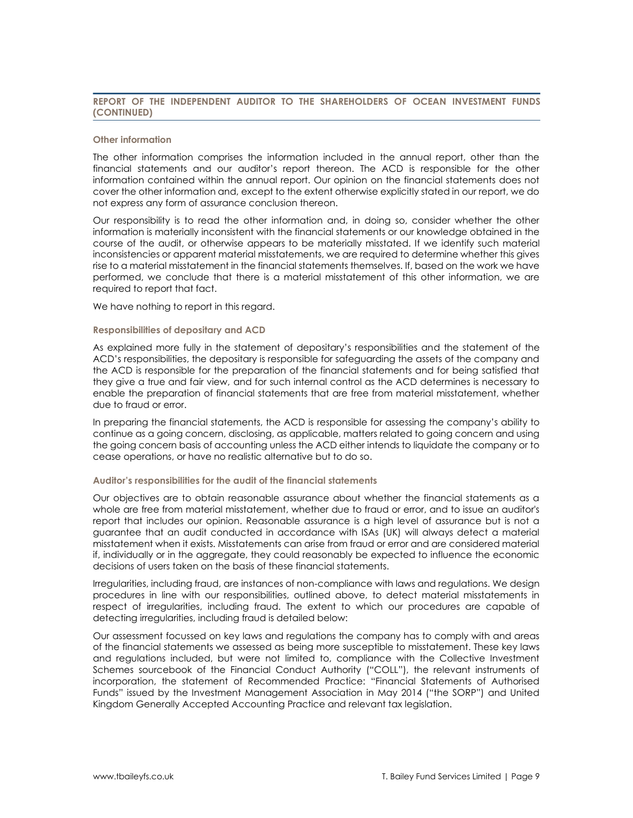# **REPORT OF THE INDEPENDENT AUDITOR TO THE SHAREHOLDERS OF OCEAN INVESTMENT FUNDS (CONTINUED)**

#### **Other information**

The other information comprises the information included in the annual report, other than the financial statements and our auditor's report thereon. The ACD is responsible for the other information contained within the annual report. Our opinion on the financial statements does not cover the other information and, except to the extent otherwise explicitly stated in our report, we do not express any form of assurance conclusion thereon.

Our responsibility is to read the other information and, in doing so, consider whether the other information is materially inconsistent with the financial statements or our knowledge obtained in the course of the audit, or otherwise appears to be materially misstated. If we identify such material inconsistencies or apparent material misstatements, we are required to determine whether this gives rise to a material misstatement in the financial statements themselves. If, based on the work we have performed, we conclude that there is a material misstatement of this other information, we are required to report that fact.

We have nothing to report in this regard.

# **Responsibilities of depositary and ACD**

As explained more fully in the statement of depositary's responsibilities and the statement of the ACD's responsibilities, the depositary is responsible for safeguarding the assets of the company and the ACD is responsible for the preparation of the financial statements and for being satisfied that they give a true and fair view, and for such internal control as the ACD determines is necessary to enable the preparation of financial statements that are free from material misstatement, whether due to fraud or error.

In preparing the financial statements, the ACD is responsible for assessing the company's ability to continue as a going concern, disclosing, as applicable, matters related to going concern and using the going concern basis of accounting unless the ACD either intends to liquidate the company or to cease operations, or have no realistic alternative but to do so.

#### **Auditor's responsibilities for the audit of the financial statements**

Our objectives are to obtain reasonable assurance about whether the financial statements as a whole are free from material misstatement, whether due to fraud or error, and to issue an auditor's report that includes our opinion. Reasonable assurance is a high level of assurance but is not a guarantee that an audit conducted in accordance with ISAs (UK) will always detect a material misstatement when it exists. Misstatements can arise from fraud or error and are considered material if, individually or in the aggregate, they could reasonably be expected to influence the economic decisions of users taken on the basis of these financial statements.

Irregularities, including fraud, are instances of non-compliance with laws and regulations. We design procedures in line with our responsibilities, outlined above, to detect material misstatements in respect of irregularities, including fraud. The extent to which our procedures are capable of detecting irregularities, including fraud is detailed below:

Our assessment focussed on key laws and regulations the company has to comply with and areas of the financial statements we assessed as being more susceptible to misstatement. These key laws and regulations included, but were not limited to, compliance with the Collective Investment Schemes sourcebook of the Financial Conduct Authority ("COLL"), the relevant instruments of incorporation, the statement of Recommended Practice: "Financial Statements of Authorised Funds" issued by the Investment Management Association in May 2014 ("the SORP") and United Kingdom Generally Accepted Accounting Practice and relevant tax legislation.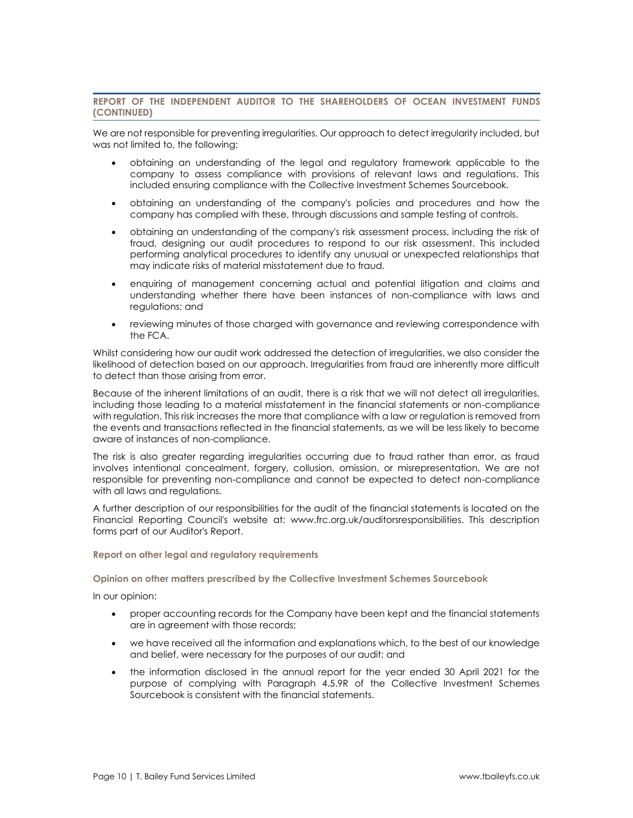# **REPORT OF THE INDEPENDENT AUDITOR TO THE SHAREHOLDERS OF OCEAN INVESTMENT FUNDS (CONTINUED)**

We are not responsible for preventing irregularities. Our approach to detect irregularity included, but was not limited to, the following:

- obtaining an understanding of the legal and regulatory framework applicable to the company to assess compliance with provisions of relevant laws and regulations. This included ensuring compliance with the Collective Investment Schemes Sourcebook.
- obtaining an understanding of the company's policies and procedures and how the company has complied with these, through discussions and sample testing of controls.
- obtaining an understanding of the company's risk assessment process, including the risk of fraud, designing our audit procedures to respond to our risk assessment. This included performing analytical procedures to identify any unusual or unexpected relationships that may indicate risks of material misstatement due to fraud.
- enquiring of management concerning actual and potential litigation and claims and understanding whether there have been instances of non-compliance with laws and regulations; and
- reviewing minutes of those charged with governance and reviewing correspondence with the FCA.

Whilst considering how our audit work addressed the detection of irregularities, we also consider the likelihood of detection based on our approach. Irregularities from fraud are inherently more difficult to detect than those arising from error.

Because of the inherent limitations of an audit, there is a risk that we will not detect all irregularities, including those leading to a material misstatement in the financial statements or non-compliance with regulation. This risk increases the more that compliance with a law or regulation is removed from the events and transactions reflected in the financial statements, as we will be less likely to become aware of instances of non-compliance.

The risk is also greater regarding irregularities occurring due to fraud rather than error, as fraud involves intentional concealment, forgery, collusion, omission, or misrepresentation. We are not responsible for preventing non-compliance and cannot be expected to detect non-compliance with all laws and regulations.

A further description of our responsibilities for the audit of the financial statements is located on the Financial Reporting Council's website at: www.frc.org.uk/auditorsresponsibilities. This description forms part of our Auditor's Report.

# **Report on other legal and regulatory requirements**

**Opinion on other matters prescribed by the Collective Investment Schemes Sourcebook**

In our opinion:

- proper accounting records for the Company have been kept and the financial statements are in agreement with those records;
- we have received all the information and explanations which, to the best of our knowledge and belief, were necessary for the purposes of our audit; and
- the information disclosed in the annual report for the year ended 30 April 2021 for the purpose of complying with Paragraph 4.5.9R of the Collective Investment Schemes Sourcebook is consistent with the financial statements.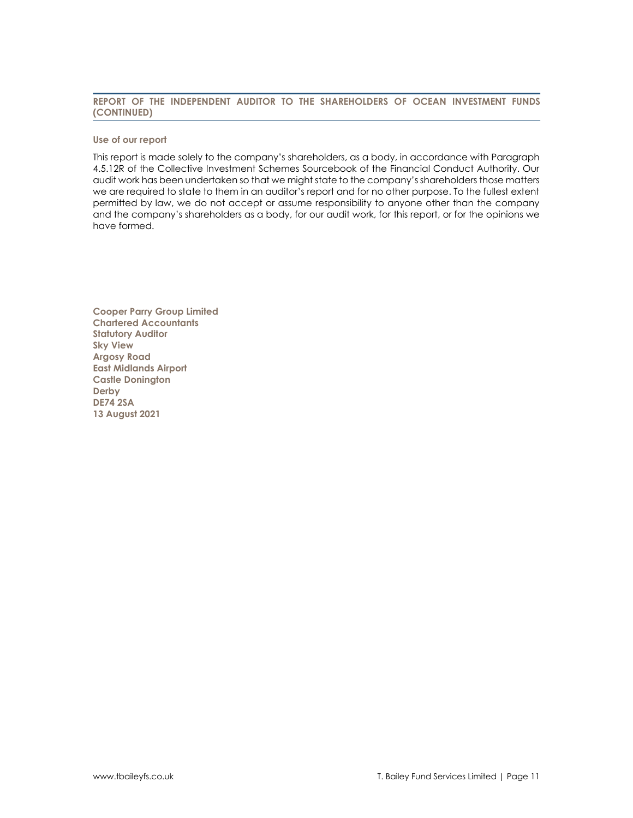# **REPORT OF THE INDEPENDENT AUDITOR TO THE SHAREHOLDERS OF OCEAN INVESTMENT FUNDS (CONTINUED)**

#### **Use of our report**

This report is made solely to the company's shareholders, as a body, in accordance with Paragraph 4.5.12R of the Collective Investment Schemes Sourcebook of the Financial Conduct Authority. Our audit work has been undertaken so that we might state to the company's shareholders those matters we are required to state to them in an auditor's report and for no other purpose. To the fullest extent permitted by law, we do not accept or assume responsibility to anyone other than the company and the company's shareholders as a body, for our audit work, for this report, or for the opinions we have formed.

**Cooper Parry Group Limited Chartered Accountants Statutory Auditor Sky View Argosy Road East Midlands Airport Castle Donington Derby DE74 2SA 13 August 2021**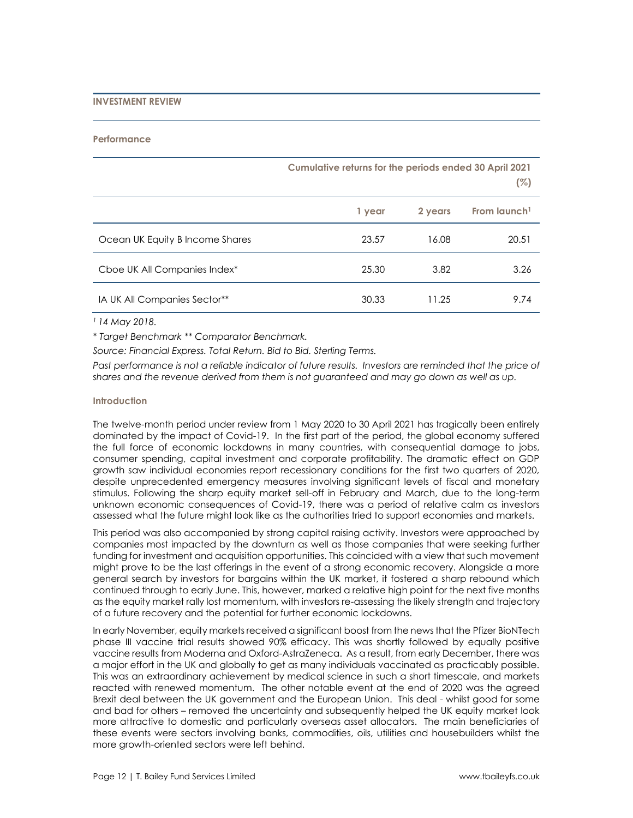# **INVESTMENT REVIEW**

#### **Performance**

|                                 | Cumulative returns for the periods ended 30 April 2021 |         | (%)                      |
|---------------------------------|--------------------------------------------------------|---------|--------------------------|
|                                 | 1 year                                                 | 2 years | From launch <sup>1</sup> |
| Ocean UK Equity B Income Shares | 23.57                                                  | 16.08   | 20.51                    |
| Cboe UK All Companies Index*    | 25.30                                                  | 3.82    | 3.26                     |
| IA UK All Companies Sector**    | 30.33                                                  | 11.25   | 9.74                     |

*<sup>1</sup>14 May 2018.*

*\* Target Benchmark \*\* Comparator Benchmark.*

*Source: Financial Express. Total Return. Bid to Bid. Sterling Terms.*

*Past performance is not a reliable indicator of future results. Investors are reminded that the price of shares and the revenue derived from them is not guaranteed and may go down as well as up.*

# **Introduction**

The twelve-month period under review from 1 May 2020 to 30 April 2021 has tragically been entirely dominated by the impact of Covid-19. In the first part of the period, the global economy suffered the full force of economic lockdowns in many countries, with consequential damage to jobs, consumer spending, capital investment and corporate profitability. The dramatic effect on GDP growth saw individual economies report recessionary conditions for the first two quarters of 2020, despite unprecedented emergency measures involving significant levels of fiscal and monetary stimulus. Following the sharp equity market sell-off in February and March, due to the long-term unknown economic consequences of Covid-19, there was a period of relative calm as investors assessed what the future might look like as the authorities tried to support economies and markets.

This period was also accompanied by strong capital raising activity. Investors were approached by companies most impacted by the downturn as well as those companies that were seeking further funding for investment and acquisition opportunities. This coincided with a view that such movement might prove to be the last offerings in the event of a strong economic recovery. Alongside a more general search by investors for bargains within the UK market, it fostered a sharp rebound which continued through to early June. This, however, marked a relative high point for the next five months as the equity market rally lost momentum, with investors re-assessing the likely strength and trajectory of a future recovery and the potential for further economic lockdowns.

In early November, equity markets received a significant boost from the news that the Pfizer BioNTech phase III vaccine trial results showed 90% efficacy. This was shortly followed by equally positive vaccine results from Moderna and Oxford-AstraZeneca. As a result, from early December, there was a major effort in the UK and globally to get as many individuals vaccinated as practicably possible. This was an extraordinary achievement by medical science in such a short timescale, and markets reacted with renewed momentum. The other notable event at the end of 2020 was the agreed Brexit deal between the UK government and the European Union. This deal - whilst good for some and bad for others – removed the uncertainty and subsequently helped the UK equity market look more attractive to domestic and particularly overseas asset allocators. The main beneficiaries of these events were sectors involving banks, commodities, oils, utilities and housebuilders whilst the more growth-oriented sectors were left behind.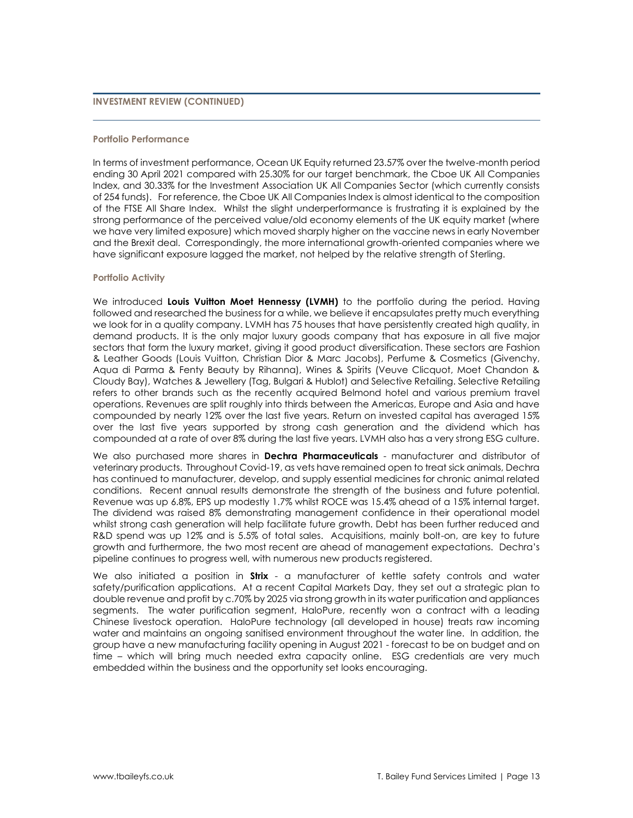# **INVESTMENT REVIEW (CONTINUED)**

#### **Portfolio Performance**

In terms of investment performance, Ocean UK Equity returned 23.57% over the twelve-month period ending 30 April 2021 compared with 25.30% for our target benchmark, the Cboe UK All Companies Index, and 30.33% for the Investment Association UK All Companies Sector (which currently consists of 254 funds). For reference, the Cboe UK All Companies Index is almost identical to the composition of the FTSE All Share Index. Whilst the slight underperformance is frustrating it is explained by the strong performance of the perceived value/old economy elements of the UK equity market (where we have very limited exposure) which moved sharply higher on the vaccine news in early November and the Brexit deal. Correspondingly, the more international growth-oriented companies where we have significant exposure lagged the market, not helped by the relative strength of Sterling.

#### **Portfolio Activity**

We introduced Louis Vuitton Moet Hennessy (LVMH) to the portfolio during the period. Having followed and researched the business for a while, we believe it encapsulates pretty much everything we look for in a quality company. LVMH has 75 houses that have persistently created high quality, in demand products. It is the only major luxury goods company that has exposure in all five major sectors that form the luxury market, giving it good product diversification. These sectors are Fashion & Leather Goods (Louis Vuitton, Christian Dior & Marc Jacobs), Perfume & Cosmetics (Givenchy, Aqua di Parma & Fenty Beauty by Rihanna), Wines & Spirits (Veuve Clicquot, Moet Chandon & Cloudy Bay), Watches & Jewellery (Tag, Bulgari & Hublot) and Selective Retailing. Selective Retailing refers to other brands such as the recently acquired Belmond hotel and various premium travel operations. Revenues are split roughly into thirds between the Americas, Europe and Asia and have compounded by nearly 12% over the last five years. Return on invested capital has averaged 15% over the last five years supported by strong cash generation and the dividend which has compounded at a rate of over 8% during the last five years. LVMH also has a very strong ESG culture.

We also purchased more shares in **Dechra Pharmaceuticals** - manufacturer and distributor of veterinary products. Throughout Covid-19, as vets have remained open to treat sick animals, Dechra has continued to manufacturer, develop, and supply essential medicines for chronic animal related conditions. Recent annual results demonstrate the strength of the business and future potential. Revenue was up 6.8%, EPS up modestly 1.7% whilst ROCE was 15.4% ahead of a 15% internal target. The dividend was raised 8% demonstrating management confidence in their operational model whilst strong cash generation will help facilitate future growth. Debt has been further reduced and R&D spend was up 12% and is 5.5% of total sales. Acquisitions, mainly bolt-on, are key to future growth and furthermore, the two most recent are ahead of management expectations. Dechra's pipeline continues to progress well, with numerous new products registered.

We also initiated a position in **Strix** - a manufacturer of kettle safety controls and water safety/purification applications. At a recent Capital Markets Day, they set out a strategic plan to double revenue and profit by c.70% by 2025 via strong growth in its water purification and appliances segments. The water purification segment, HaloPure, recently won a contract with a leading Chinese livestock operation. HaloPure technology (all developed in house) treats raw incoming water and maintains an ongoing sanitised environment throughout the water line. In addition, the group have a new manufacturing facility opening in August 2021 - forecast to be on budget and on time – which will bring much needed extra capacity online. ESG credentials are very much embedded within the business and the opportunity set looks encouraging.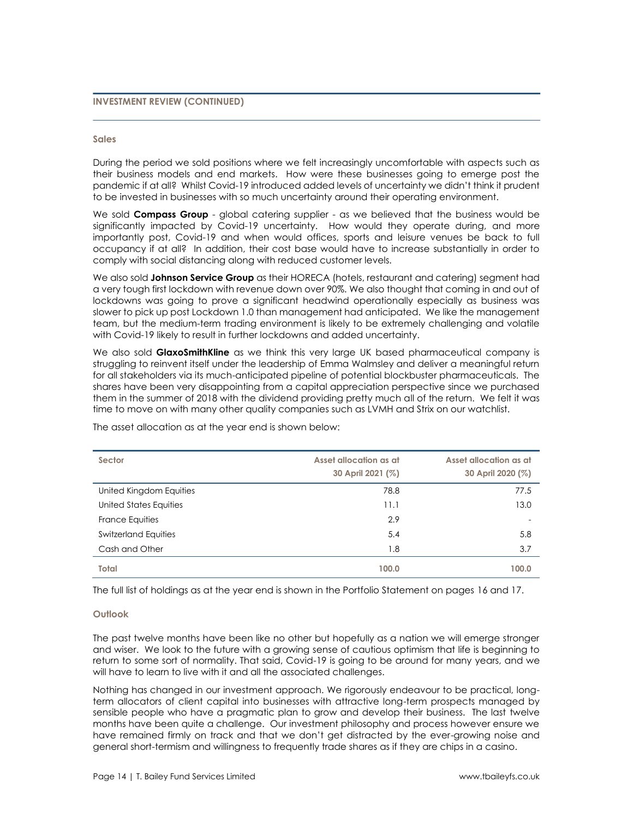# **INVESTMENT REVIEW (CONTINUED)**

#### **Sales**

During the period we sold positions where we felt increasingly uncomfortable with aspects such as their business models and end markets. How were these businesses going to emerge post the pandemic if at all? Whilst Covid-19 introduced added levels of uncertainty we didn't think it prudent to be invested in businesses with so much uncertainty around their operating environment.

We sold **Compass Group** - global catering supplier - as we believed that the business would be significantly impacted by Covid-19 uncertainty. How would they operate during, and more importantly post, Covid-19 and when would offices, sports and leisure venues be back to full occupancy if at all? In addition, their cost base would have to increase substantially in order to comply with social distancing along with reduced customer levels.

We also sold **Johnson Service Group** as their HORECA (hotels, restaurant and catering) segment had a very tough first lockdown with revenue down over 90%. We also thought that coming in and out of lockdowns was going to prove a significant headwind operationally especially as business was slower to pick up post Lockdown 1.0 than management had anticipated. We like the management team, but the medium-term trading environment is likely to be extremely challenging and volatile with Covid-19 likely to result in further lockdowns and added uncertainty.

We also sold **GlaxoSmithKline** as we think this very large UK based pharmaceutical company is struggling to reinvent itself under the leadership of Emma Walmsley and deliver a meaningful return for all stakeholders via its much-anticipated pipeline of potential blockbuster pharmaceuticals. The shares have been very disappointing from a capital appreciation perspective since we purchased them in the summer of 2018 with the dividend providing pretty much all of the return. We felt it was time to move on with many other quality companies such as LVMH and Strix on our watchlist.

| Sector                      | Asset allocation as at | Asset allocation as at |
|-----------------------------|------------------------|------------------------|
|                             | 30 April 2021 (%)      | 30 April 2020 (%)      |
| United Kingdom Equities     | 78.8                   | 77.5                   |
| United States Equities      | 11.1                   | 13.0                   |
| France Equities             | 2.9                    |                        |
| <b>Switzerland Equities</b> | 5.4                    | 5.8                    |
| Cash and Other              | 1.8                    | 3.7                    |
| Total                       | 100.0                  | 100.0                  |

The asset allocation as at the year end is shown below:

The full list of holdings as at the year end is shown in the Portfolio Statement on pages 16 and 17.

#### **Outlook**

The past twelve months have been like no other but hopefully as a nation we will emerge stronger and wiser. We look to the future with a growing sense of cautious optimism that life is beginning to return to some sort of normality. That said, Covid-19 is going to be around for many years, and we will have to learn to live with it and all the associated challenges.

Nothing has changed in our investment approach. We rigorously endeavour to be practical, longterm allocators of client capital into businesses with attractive long-term prospects managed by sensible people who have a pragmatic plan to grow and develop their business. The last twelve months have been quite a challenge. Our investment philosophy and process however ensure we have remained firmly on track and that we don't get distracted by the ever-growing noise and general short-termism and willingness to frequently trade shares as if they are chips in a casino.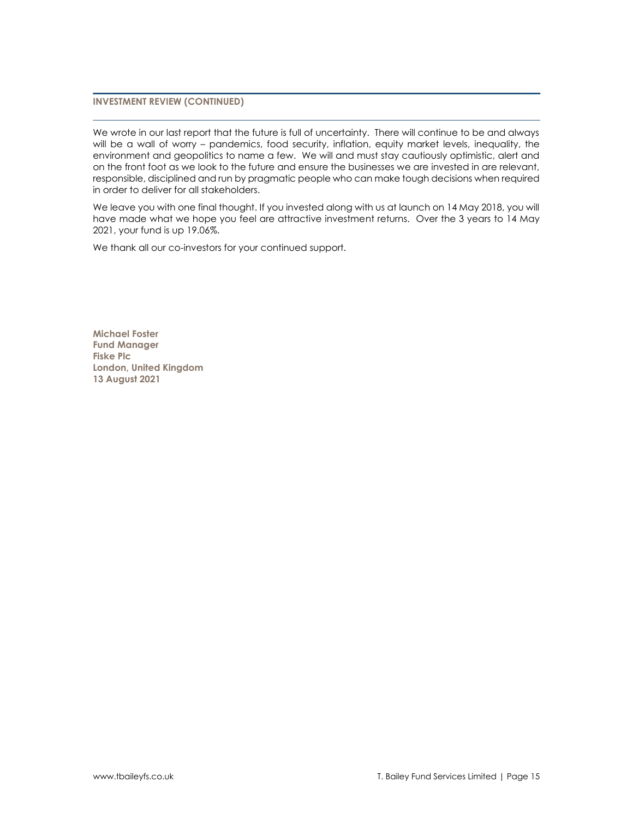# **INVESTMENT REVIEW (CONTINUED)**

We wrote in our last report that the future is full of uncertainty. There will continue to be and always will be a wall of worry – pandemics, food security, inflation, equity market levels, inequality, the environment and geopolitics to name a few. We will and must stay cautiously optimistic, alert and on the front foot as we look to the future and ensure the businesses we are invested in are relevant, responsible, disciplined and run by pragmatic people who can make tough decisions when required in order to deliver for all stakeholders.

We leave you with one final thought. If you invested along with us at launch on 14 May 2018, you will have made what we hope you feel are attractive investment returns. Over the 3 years to 14 May 2021, your fund is up 19.06%.

We thank all our co-investors for your continued support.

**Michael Foster Fund Manager Fiske Plc London, United Kingdom 13 August 2021**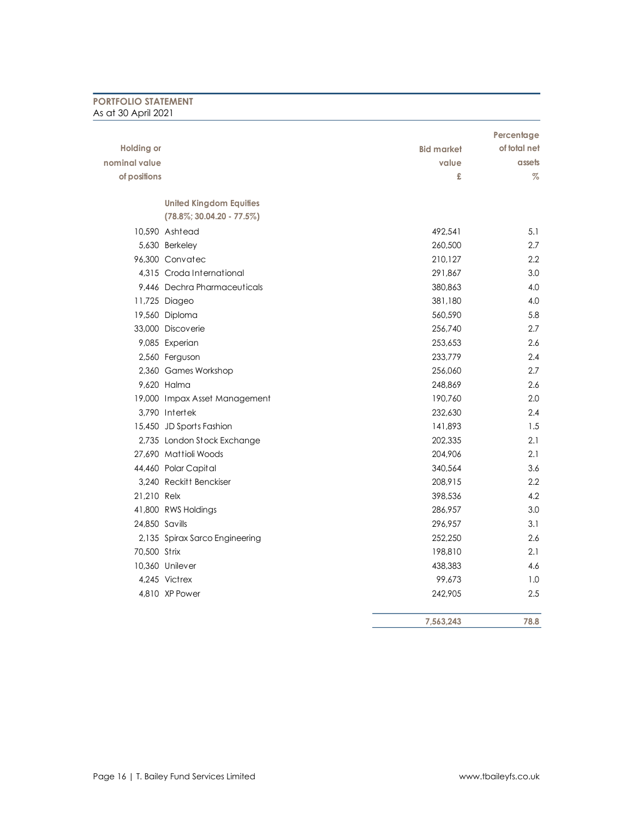# **PORTFOLIO STATEMENT** As at 30 April 2021

|                   |                                |                   | Percentage   |
|-------------------|--------------------------------|-------------------|--------------|
| <b>Holding or</b> |                                | <b>Bid market</b> | of total net |
| nominal value     |                                | value             | assets       |
| of positions      |                                | £                 | $\%$         |
|                   | <b>United Kingdom Equities</b> |                   |              |
|                   | $(78.8\%; 30.04.20 - 77.5\%)$  |                   |              |
|                   | 10.590 Ashtead                 | 492.541           | 5.1          |
|                   | 5,630 Berkeley                 | 260,500           | 2.7          |
|                   | 96.300 Convatec                | 210,127           | $2.2\,$      |
|                   | 4.315 Croda International      | 291,867           | 3.0          |
|                   | 9,446 Dechra Pharmaceuticals   | 380,863           | 4.0          |
|                   | 11,725 Diageo                  | 381,180           | 4.0          |
|                   | 19,560 Diploma                 | 560,590           | 5.8          |
|                   | 33,000 Discoverie              | 256,740           | 2.7          |
|                   | 9,085 Experian                 | 253,653           | 2.6          |
|                   | 2,560 Ferguson                 | 233,779           | 2.4          |
|                   | 2,360 Games Workshop           | 256,060           | 2.7          |
|                   | 9.620 Halma                    | 248.869           | 2.6          |
|                   | 19,000 Impax Asset Management  | 190,760           | 2.0          |
|                   | 3,790 Intertek                 | 232,630           | 2.4          |
|                   | 15,450 JD Sports Fashion       | 141,893           | 1.5          |
|                   | 2,735 London Stock Exchange    | 202,335           | 2.1          |
|                   | 27,690 Mattioli Woods          | 204,906           | 2.1          |
|                   | 44,460 Polar Capital           | 340,564           | 3.6          |
|                   | 3.240 Reckitt Benckiser        | 208,915           | 2.2          |
| 21,210 Relx       |                                | 398,536           | 4.2          |
|                   | 41,800 RWS Holdings            | 286,957           | 3.0          |
| 24,850 Savills    |                                | 296,957           | 3.1          |
|                   | 2,135 Spirax Sarco Engineering | 252,250           | 2.6          |
| 70,500 Strix      |                                | 198,810           | 2.1          |
|                   | 10,360 Unilever                | 438,383           | 4.6          |
|                   | 4.245 Victrex                  | 99,673            | 1.0          |
|                   | 4,810 XP Power                 | 242,905           | 2.5          |
|                   |                                | 7,563,243         | 78.8         |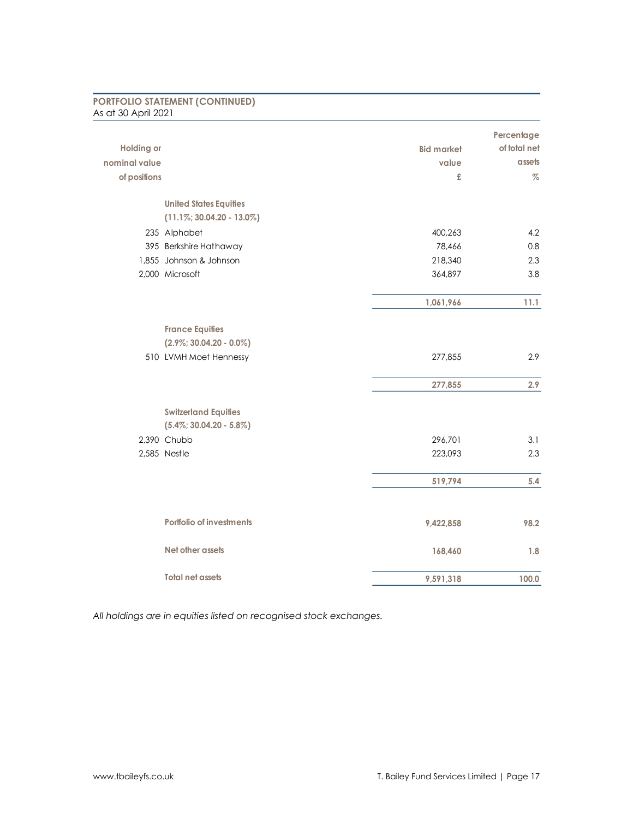| As at 30 April 2021           |                   |              |
|-------------------------------|-------------------|--------------|
|                               |                   | Percentage   |
| <b>Holding or</b>             | <b>Bid market</b> | of total net |
| nominal value                 | value             | assets       |
| of positions                  | £                 | $\%$         |
| <b>United States Equities</b> |                   |              |
| $(11.1\%; 30.04.20 - 13.0\%)$ |                   |              |
| 235 Alphabet                  | 400,263           | 4.2          |
| 395 Berkshire Hathaway        | 78,466            | 0.8          |
| 1,855 Johnson & Johnson       | 218,340           | 2.3          |
| 2,000 Microsoft               | 364,897           | 3.8          |
|                               | 1,061,966         | 11.1         |
| <b>France Equities</b>        |                   |              |
| $(2.9\%; 30.04.20 - 0.0\%)$   |                   |              |
| 510 LVMH Moet Hennessy        | 277,855           | 2.9          |
|                               | 277,855           | 2.9          |
| <b>Switzerland Equities</b>   |                   |              |
| $(5.4\%; 30.04.20 - 5.8\%)$   |                   |              |
| 2,390 Chubb                   | 296,701           | 3.1          |
| 2,585 Nestle                  | 223,093           | 2.3          |
|                               | 519,794           | 5.4          |
|                               |                   |              |
| Portfolio of investments      | 9,422,858         | 98.2         |
| Net other assets              | 168,460           | 1.8          |
| <b>Total net assets</b>       | 9,591,318         | 100.0        |

**PORTFOLIO STATEMENT (CONTINUED)**

*All holdings are in equities listed on recognised stock exchanges.*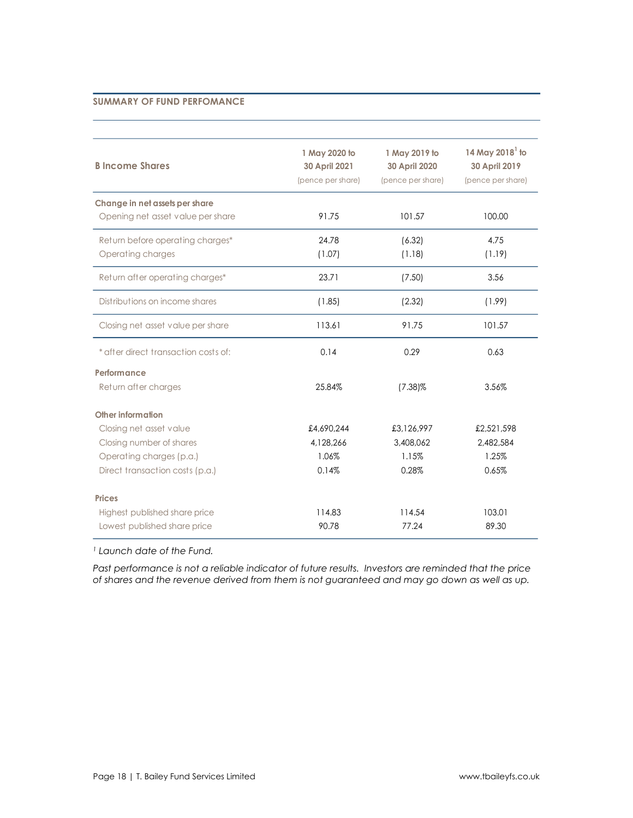# **SUMMARY OF FUND PERFOMANCE**

| <b>B</b> Income Shares                                                                                                                  | 1 May 2020 to<br>30 April 2021<br>(pence per share) | 1 May 2019 to<br>30 April 2020<br>(pence per share) | 14 May 2018 $^1$ to<br>30 April 2019<br>(pence per share) |
|-----------------------------------------------------------------------------------------------------------------------------------------|-----------------------------------------------------|-----------------------------------------------------|-----------------------------------------------------------|
| Change in net assets per share<br>Opening net asset value per share                                                                     | 91.75                                               | 101.57                                              | 100.00                                                    |
| Return before operating charges*<br>Operating charges                                                                                   | 24.78<br>(1.07)                                     | (6.32)<br>(1.18)                                    | 4.75<br>(1.19)                                            |
| Return after operating charges*                                                                                                         | 23.71                                               | (7.50)                                              | 3.56                                                      |
| Distributions on income shares                                                                                                          | (1.85)                                              | (2.32)                                              | (1.99)                                                    |
| Closing net asset value per share                                                                                                       | 113.61                                              | 91.75                                               | 101.57                                                    |
| * after direct transaction costs of:                                                                                                    | 0.14                                                | 0.29                                                | 0.63                                                      |
| Performance<br>Return after charges                                                                                                     | 25.84%                                              | $(7.38)\%$                                          | 3.56%                                                     |
| Other information<br>Closing net asset value<br>Closing number of shares<br>Operating charges (p.a.)<br>Direct transaction costs (p.a.) | £4,690,244<br>4,128,266<br>1.06%<br>0.14%           | £3,126,997<br>3,408,062<br>1.15%<br>0.28%           | £2,521,598<br>2,482,584<br>1.25%<br>0.65%                 |
| <b>Prices</b><br>Highest published share price<br>Lowest published share price                                                          | 114.83<br>90.78                                     | 114.54<br>77.24                                     | 103.01<br>89.30                                           |

*<sup>1</sup> Launch date of the Fund.*

*Past performance is not a reliable indicator of future results. Investors are reminded that the price of shares and the revenue derived from them is not guaranteed and may go down as well as up.*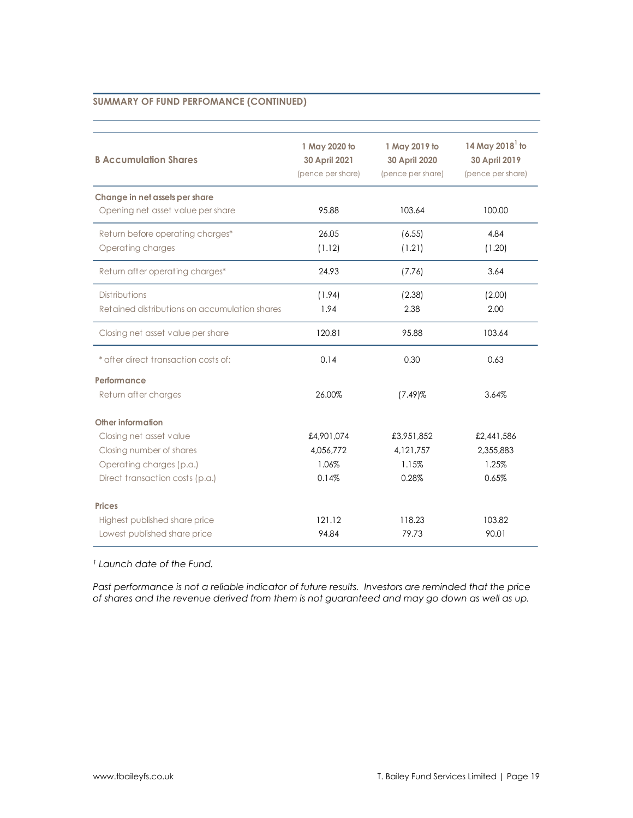# **SUMMARY OF FUND PERFOMANCE (CONTINUED)**

| <b>B Accumulation Shares</b>                  | 1 May 2020 to<br>30 April 2021<br>(pence per share) | 1 May 2019 to<br>30 April 2020<br>(pence per share) | 14 May 2018 $^1$ to<br>30 April 2019<br>(pence per share) |
|-----------------------------------------------|-----------------------------------------------------|-----------------------------------------------------|-----------------------------------------------------------|
| Change in net assets per share                |                                                     |                                                     |                                                           |
| Opening net asset value per share             | 95.88                                               | 103.64                                              | 100.00                                                    |
| Return before operating charges*              | 26.05                                               | (6.55)                                              | 4.84                                                      |
| Operating charges                             | (1.12)                                              | (1.21)                                              | (1.20)                                                    |
| Return after operating charges*               | 24.93                                               | (7.76)                                              | 3.64                                                      |
| <b>Distributions</b>                          | (1.94)                                              | (2.38)                                              | (2.00)                                                    |
| Retained distributions on accumulation shares | 1.94                                                | 2.38                                                | 2.00                                                      |
| Closing net asset value per share             | 120.81                                              | 95.88                                               | 103.64                                                    |
| * after direct transaction costs of:          | 0.14                                                | 0.30                                                | 0.63                                                      |
| Performance                                   |                                                     |                                                     |                                                           |
| Return after charges                          | 26.00%                                              | $(7.49)$ %                                          | 3.64%                                                     |
| Other information                             |                                                     |                                                     |                                                           |
| Closing net asset value                       | £4,901,074                                          | £3,951,852                                          | £2,441,586                                                |
| Closing number of shares                      | 4.056.772                                           | 4,121,757                                           | 2,355,883                                                 |
| Operating charges (p.a.)                      | 1.06%                                               | 1.15%                                               | 1.25%                                                     |
| Direct transaction costs (p.a.)               | 0.14%                                               | 0.28%                                               | 0.65%                                                     |
| <b>Prices</b>                                 |                                                     |                                                     |                                                           |
| Highest published share price                 | 121.12                                              | 118.23                                              | 103.82                                                    |
| Lowest published share price                  | 94.84                                               | 79.73                                               | 90.01                                                     |

*<sup>1</sup> Launch date of the Fund.*

*Past performance is not a reliable indicator of future results. Investors are reminded that the price of shares and the revenue derived from them is not guaranteed and may go down as well as up.*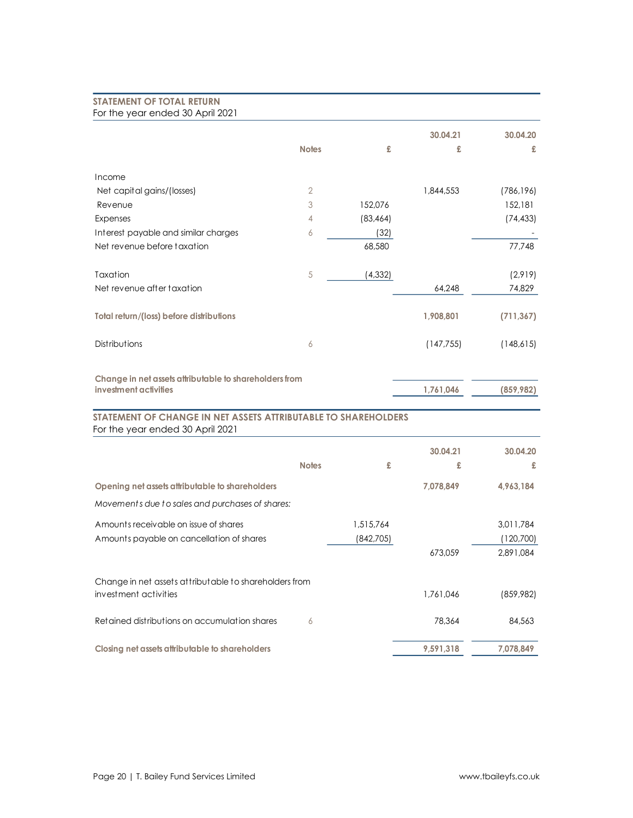# **STATEMENT OF TOTAL RETURN** For the year ended 30 April 2021

|                                                                                                    |                |           | 30.04.21   | 30.04.20   |
|----------------------------------------------------------------------------------------------------|----------------|-----------|------------|------------|
|                                                                                                    | <b>Notes</b>   | £         | £          | £          |
| Income                                                                                             |                |           |            |            |
| Net capital gains/(losses)                                                                         | $\overline{2}$ |           | 1,844,553  | (786, 196) |
| Revenue                                                                                            | 3              | 152,076   |            | 152,181    |
| Expenses                                                                                           | 4              | (83, 464) |            | (74, 433)  |
| Interest payable and similar charges                                                               | 6              | (32)      |            |            |
| Net revenue before taxation                                                                        |                | 68,580    |            | 77,748     |
| Taxation                                                                                           | 5              | (4, 332)  |            | (2,919)    |
| Net revenue after taxation                                                                         |                |           | 64,248     | 74,829     |
| Total return/(loss) before distributions                                                           |                |           | 1,908,801  | (711, 367) |
| Distributions                                                                                      | 6              |           | (147, 755) | (148,615)  |
| Change in net assets attributable to shareholders from<br>investment activities                    |                |           | 1,761,046  | (859, 982) |
| STATEMENT OF CHANGE IN NET ASSETS ATTRIBUTABLE TO SHAREHOLDERS<br>For the year ended 30 April 2021 |                |           |            |            |
|                                                                                                    |                |           | 30.04.21   | 30.04.20   |
|                                                                                                    | <b>Notes</b>   | £         | £          | £          |
| Opening net assets attributable to shareholders                                                    |                |           | 7,078,849  | 4,963,184  |
| Movements due to sales and purchases of shares:                                                    |                |           |            |            |
| Amounts receivable on issue of shares                                                              |                | 1,515,764 |            | 3,011,784  |
| Amounts payable on cancellation of shares                                                          |                | (842,705) |            | (120,700)  |
|                                                                                                    |                |           | 673,059    | 2,891,084  |
| Change in net assets attributable to shareholders from                                             |                |           |            |            |
| investment activities                                                                              |                |           | 1,761,046  | (859,982)  |
| Retained distributions on accumulation shares                                                      | 6              |           | 78,364     | 84,563     |
| Closing net assets attributable to shareholders                                                    |                |           | 9,591,318  | 7,078,849  |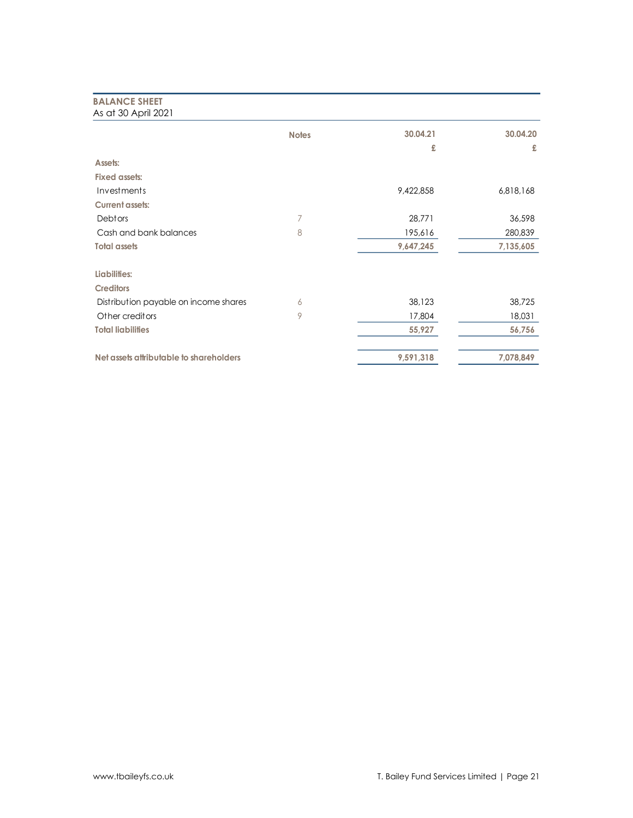# **BALANCE SHEET** As at 30 April 2021

| $1.9$ GI 00 $1.9$ HII 2021              |              |           |           |
|-----------------------------------------|--------------|-----------|-----------|
|                                         | <b>Notes</b> | 30.04.21  | 30.04.20  |
|                                         |              | £         | £         |
| Assets:                                 |              |           |           |
| <b>Fixed assets:</b>                    |              |           |           |
| Investments                             |              | 9,422,858 | 6,818,168 |
| <b>Current assets:</b>                  |              |           |           |
| Debtors                                 | 7            | 28,771    | 36,598    |
| Cash and bank balances                  | 8            | 195,616   | 280,839   |
| <b>Total assets</b>                     |              | 9,647,245 | 7,135,605 |
| Liabilities:                            |              |           |           |
| <b>Creditors</b>                        |              |           |           |
| Distribution payable on income shares   | 6            | 38,123    | 38,725    |
| Other creditors                         | 9            | 17,804    | 18,031    |
| <b>Total liabilities</b>                |              | 55,927    | 56,756    |
| Net assets attributable to shareholders |              | 9,591,318 | 7,078,849 |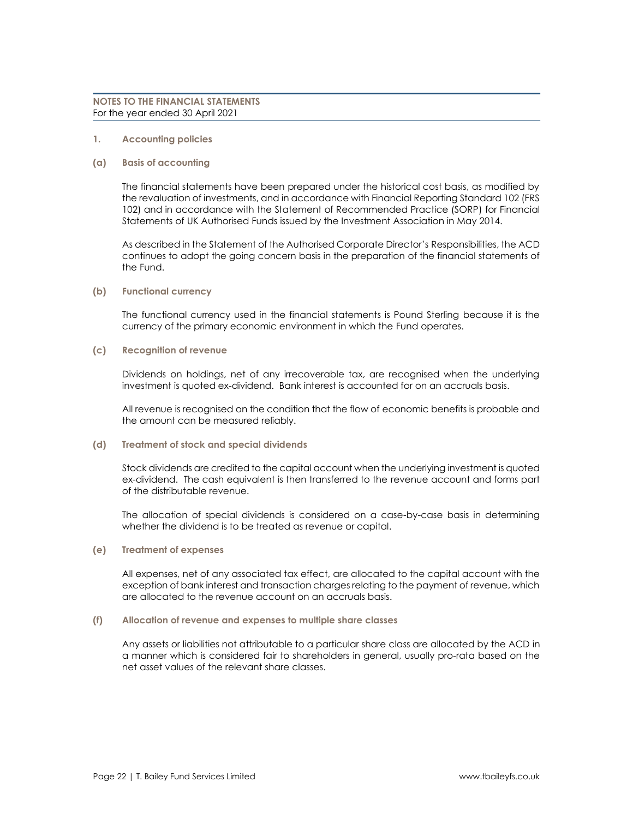#### **1. Accounting policies**

#### **(a) Basis of accounting**

The financial statements have been prepared under the historical cost basis, as modified by the revaluation of investments, and in accordance with Financial Reporting Standard 102 (FRS 102) and in accordance with the Statement of Recommended Practice (SORP) for Financial Statements of UK Authorised Funds issued by the Investment Association in May 2014.

As described in the Statement of the Authorised Corporate Director's Responsibilities, the ACD continues to adopt the going concern basis in the preparation of the financial statements of the Fund.

#### **(b) Functional currency**

The functional currency used in the financial statements is Pound Sterling because it is the currency of the primary economic environment in which the Fund operates.

#### **(c) Recognition of revenue**

Dividends on holdings, net of any irrecoverable tax, are recognised when the underlying investment is quoted ex-dividend. Bank interest is accounted for on an accruals basis.

All revenue is recognised on the condition that the flow of economic benefits is probable and the amount can be measured reliably.

# **(d) Treatment of stock and special dividends**

Stock dividends are credited to the capital account when the underlying investment is quoted ex-dividend. The cash equivalent is then transferred to the revenue account and forms part of the distributable revenue.

The allocation of special dividends is considered on a case-by-case basis in determining whether the dividend is to be treated as revenue or capital.

#### **(e) Treatment of expenses**

All expenses, net of any associated tax effect, are allocated to the capital account with the exception of bank interest and transaction charges relating to the payment of revenue, which are allocated to the revenue account on an accruals basis.

# **(f) Allocation of revenue and expenses to multiple share classes**

Any assets or liabilities not attributable to a particular share class are allocated by the ACD in a manner which is considered fair to shareholders in general, usually pro-rata based on the net asset values of the relevant share classes.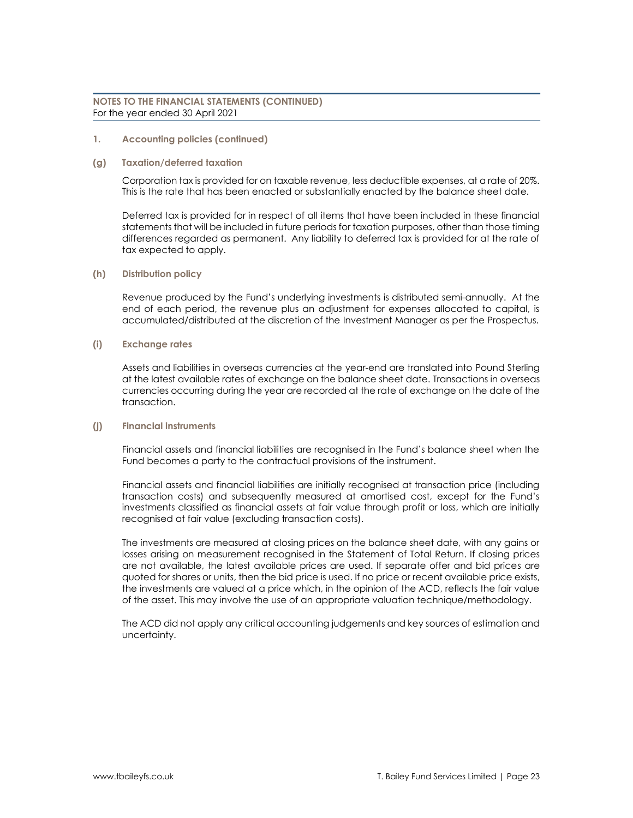# **1. Accounting policies (continued)**

# **(g) Taxation/deferred taxation**

Corporation tax is provided for on taxable revenue, less deductible expenses, at a rate of 20%. This is the rate that has been enacted or substantially enacted by the balance sheet date.

Deferred tax is provided for in respect of all items that have been included in these financial statements that will be included in future periods for taxation purposes, other than those timing differences regarded as permanent. Any liability to deferred tax is provided for at the rate of tax expected to apply.

# **(h) Distribution policy**

Revenue produced by the Fund's underlying investments is distributed semi-annually. At the end of each period, the revenue plus an adjustment for expenses allocated to capital, is accumulated/distributed at the discretion of the Investment Manager as per the Prospectus.

# **(i) Exchange rates**

Assets and liabilities in overseas currencies at the year-end are translated into Pound Sterling at the latest available rates of exchange on the balance sheet date. Transactions in overseas currencies occurring during the year are recorded at the rate of exchange on the date of the transaction.

# **(j) Financial instruments**

Financial assets and financial liabilities are recognised in the Fund's balance sheet when the Fund becomes a party to the contractual provisions of the instrument.

Financial assets and financial liabilities are initially recognised at transaction price (including transaction costs) and subsequently measured at amortised cost, except for the Fund's investments classified as financial assets at fair value through profit or loss, which are initially recognised at fair value (excluding transaction costs).

The investments are measured at closing prices on the balance sheet date, with any gains or losses arising on measurement recognised in the Statement of Total Return. If closing prices are not available, the latest available prices are used. If separate offer and bid prices are quoted for shares or units, then the bid price is used. If no price or recent available price exists, the investments are valued at a price which, in the opinion of the ACD, reflects the fair value of the asset. This may involve the use of an appropriate valuation technique/methodology.

The ACD did not apply any critical accounting judgements and key sources of estimation and uncertainty.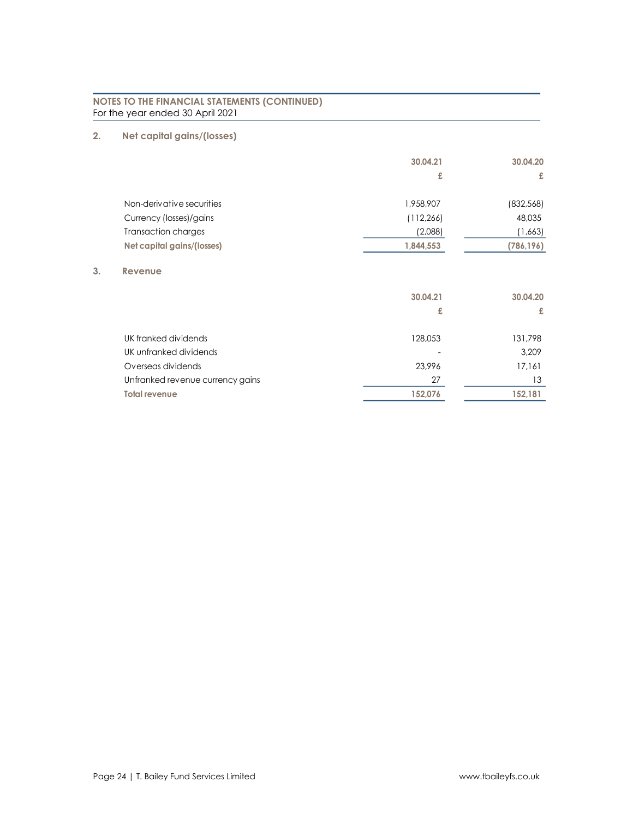# **2. Net capital gains/(losses)**

**3. Revenue**

|                                  | 30.04.21   | 30.04.20   |
|----------------------------------|------------|------------|
|                                  | £          | £          |
| Non-derivative securities        | 1,958,907  | (832,568)  |
| Currency (losses)/gains          | (112, 266) | 48,035     |
| <b>Transaction charges</b>       | (2,088)    | (1,663)    |
| Net capital gains/(losses)       | 1,844,553  | (786, 196) |
| Revenue                          |            |            |
|                                  | 30.04.21   | 30.04.20   |
|                                  | £          | £          |
| UK franked dividends             | 128,053    | 131,798    |
| UK unfranked dividends           |            | 3,209      |
| Overseas dividends               | 23,996     | 17,161     |
| Unfranked revenue currency gains | 27         | 13         |
| <b>Total revenue</b>             | 152,076    | 152,181    |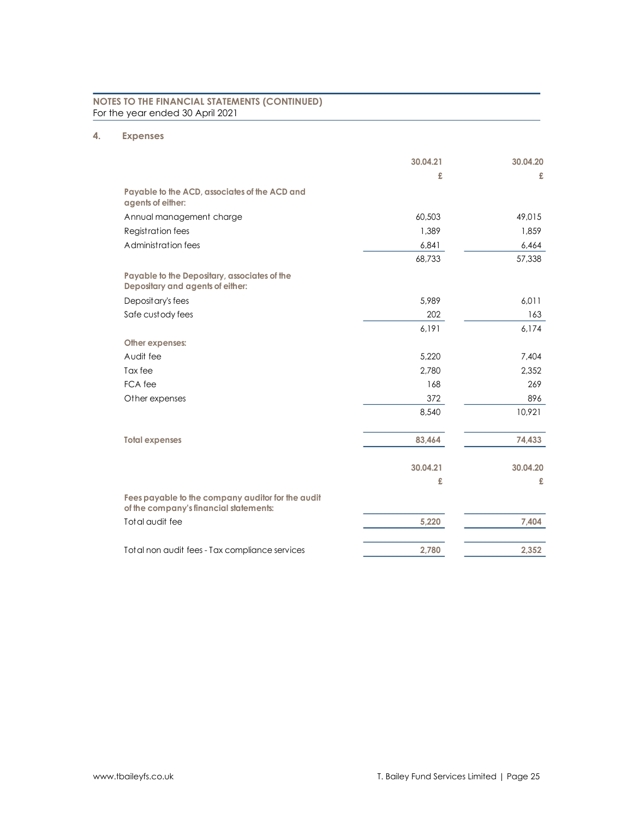# **4. Expenses**

|                                                                                             | 30.04.21 | 30.04.20 |
|---------------------------------------------------------------------------------------------|----------|----------|
|                                                                                             | £        | £        |
| Payable to the ACD, associates of the ACD and<br>agents of either:                          |          |          |
| Annual management charge                                                                    | 60.503   | 49,015   |
| <b>Registration fees</b>                                                                    | 1.389    | 1.859    |
| Administration fees                                                                         | 6,841    | 6,464    |
|                                                                                             | 68,733   | 57,338   |
| Payable to the Depositary, associates of the<br>Depositary and agents of either:            |          |          |
| Deposit ary's fees                                                                          | 5,989    | 6,011    |
| Safe custody fees                                                                           | 202      | 163      |
|                                                                                             | 6,191    | 6,174    |
| Other expenses:                                                                             |          |          |
| Audit fee                                                                                   | 5,220    | 7,404    |
| Tax fee                                                                                     | 2,780    | 2,352    |
| FCA fee                                                                                     | 168      | 269      |
| Other expenses                                                                              | 372      | 896      |
|                                                                                             | 8,540    | 10,921   |
| <b>Total expenses</b>                                                                       | 83,464   | 74,433   |
|                                                                                             | 30.04.21 | 30.04.20 |
|                                                                                             | £        | £        |
| Fees payable to the company auditor for the audit<br>of the company's financial statements: |          |          |
| Total audit fee                                                                             | 5,220    | 7,404    |
| Total non audit fees - Tax compliance services                                              | 2,780    | 2,352    |
|                                                                                             |          |          |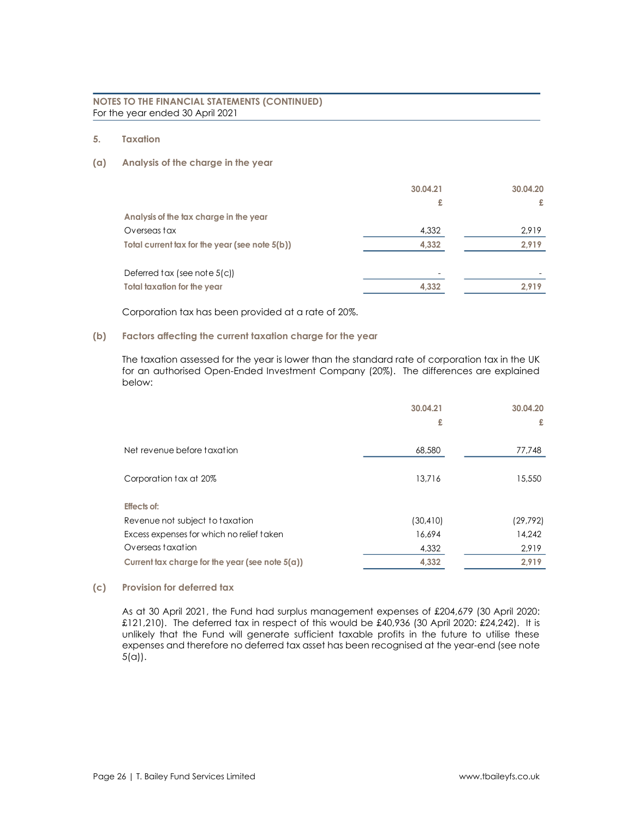**5. Taxation**

# **(a) Analysis of the charge in the year**

|                                                | 30.04.21 | 30.04.20 |
|------------------------------------------------|----------|----------|
|                                                | £        | £        |
| Analysis of the tax charge in the year         |          |          |
| Overseas tax                                   | 4,332    | 2,919    |
| Total current tax for the year (see note 5(b)) | 4,332    | 2,919    |
|                                                |          |          |
| Deferred tax (see note 5(c))                   | ۰        |          |
| Total taxation for the year                    | 4,332    | 2.919    |

Corporation tax has been provided at a rate of 20%.

# **(b) Factors affecting the current taxation charge for the year**

The taxation assessed for the year is lower than the standard rate of corporation tax in the UK for an authorised Open-Ended Investment Company (20%). The differences are explained below:

|                                                    | 30.04.21  | 30.04.20 |
|----------------------------------------------------|-----------|----------|
|                                                    | £         | £        |
|                                                    |           |          |
| Net revenue before taxation                        | 68,580    | 77,748   |
|                                                    |           |          |
| Corporation tax at 20%                             | 13.716    | 15,550   |
|                                                    |           |          |
| <b>Effects of:</b>                                 |           |          |
| Revenue not subject to taxation                    | (30, 410) | (29,792) |
| Excess expenses for which no relief taken          | 16,694    | 14,242   |
| Overseas taxation                                  | 4,332     | 2,919    |
| Current tax charge for the year (see note $5(a)$ ) | 4,332     | 2,919    |

# **(c) Provision for deferred tax**

As at 30 April 2021, the Fund had surplus management expenses of £204,679 (30 April 2020:  $£121,210$ . The deferred tax in respect of this would be £40,936 (30 April 2020: £24,242). It is unlikely that the Fund will generate sufficient taxable profits in the future to utilise these expenses and therefore no deferred tax asset has been recognised at the year-end (see note 5(a)).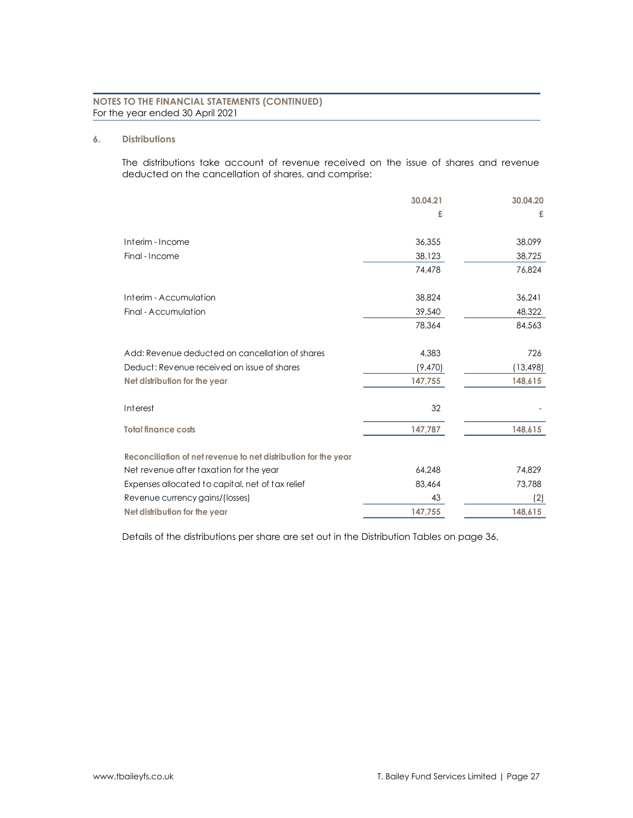# **6. Distributions**

The distributions take account of revenue received on the issue of shares and revenue deducted on the cancellation of shares, and comprise:

|                                                                | 30.04.21 | 30.04.20  |
|----------------------------------------------------------------|----------|-----------|
|                                                                | £        | £         |
| Interim - Income                                               | 36,355   | 38,099    |
| Final - Income                                                 | 38,123   | 38,725    |
|                                                                | 74,478   | 76,824    |
| Interim - Accumulation                                         | 38,824   | 36,241    |
| Final - Accumulation                                           | 39,540   | 48,322    |
|                                                                | 78,364   | 84,563    |
| Add: Revenue deducted on cancellation of shares                | 4,383    | 726       |
| Deduct: Revenue received on issue of shares                    | (9,470)  | (13, 498) |
| Net distribution for the year                                  | 147,755  | 148,615   |
| Interest                                                       | 32       |           |
| <b>Total finance costs</b>                                     | 147,787  | 148,615   |
| Reconciliation of net revenue to net distribution for the year |          |           |
| Net revenue after taxation for the year                        | 64,248   | 74,829    |
| Expenses allocated to capital, net of tax relief               | 83,464   | 73,788    |
| Revenue currency gains/(losses)                                | 43       | (2)       |
| Net distribution for the year                                  | 147,755  | 148,615   |

Details of the distributions per share are set out in the Distribution Tables on page 36.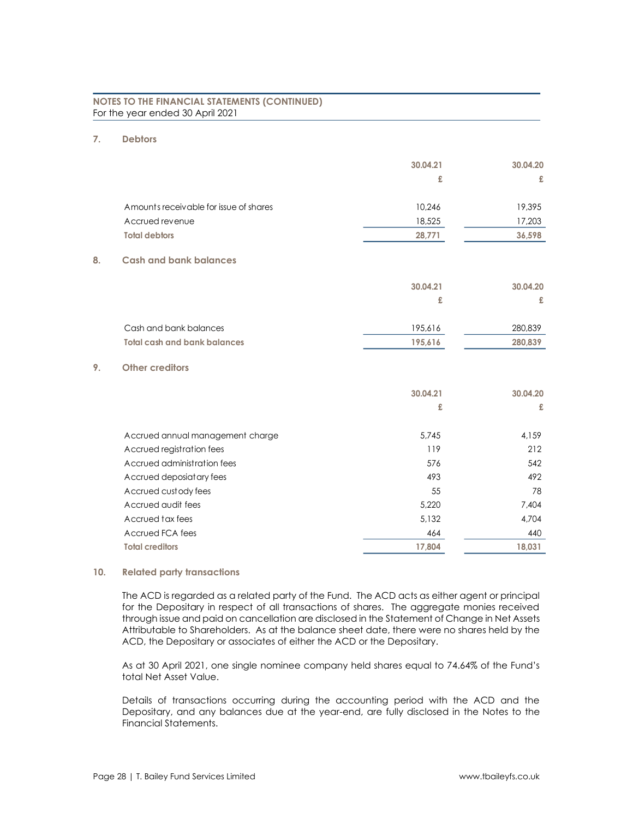# **7. Debtors**

|                                        | 30.04.21 | 30.04.20 |
|----------------------------------------|----------|----------|
|                                        | £        | £        |
| Amounts receivable for issue of shares | 10,246   | 19,395   |
| Accrued revenue                        | 18,525   | 17,203   |
| <b>Total debtors</b>                   | 28,771   | 36,598   |
| <b>Cash and bank balances</b><br>8.    |          |          |
|                                        | 30.04.21 | 30.04.20 |
|                                        | £        | £        |
| Cash and bank balances                 | 195,616  | 280,839  |
| <b>Total cash and bank balances</b>    | 195,616  | 280,839  |
| 9.<br><b>Other creditors</b>           |          |          |
|                                        | 30.04.21 | 30.04.20 |
|                                        | £        | £        |
| Accrued annual management charge       | 5.745    | 4.159    |
| Accrued registration fees              | 119      | 212      |
| Accrued administration fees            | 576      | 542      |
| Accrued deposiatary fees               | 493      | 492      |
| Accrued custody fees                   | 55       | 78       |
| Accrued audit fees                     | 5,220    | 7.404    |
| Accrued tax fees                       | 5,132    | 4,704    |
| Accrued FCA fees                       | 464      | 440      |
| <b>Total creditors</b>                 | 17,804   | 18,031   |

# **10. Related party transactions**

The ACD is regarded as a related party of the Fund. The ACD acts as either agent or principal for the Depositary in respect of all transactions of shares. The aggregate monies received through issue and paid on cancellation are disclosed in the Statement of Change in Net Assets Attributable to Shareholders. As at the balance sheet date, there were no shares held by the ACD, the Depositary or associates of either the ACD or the Depositary.

As at 30 April 2021, one single nominee company held shares equal to 74.64% of the Fund's total Net Asset Value.

Details of transactions occurring during the accounting period with the ACD and the Depositary, and any balances due at the year-end, are fully disclosed in the Notes to the Financial Statements.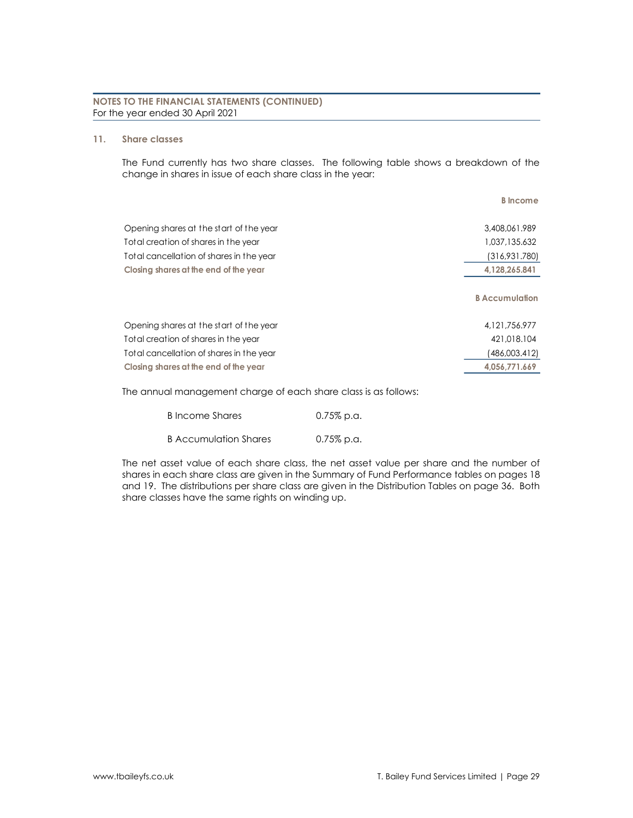# **11. Share classes**

The Fund currently has two share classes. The following table shows a breakdown of the change in shares in issue of each share class in the year:

|                                          | <b>B</b> Income       |
|------------------------------------------|-----------------------|
| Opening shares at the start of the year  | 3,408,061,989         |
| Total creation of shares in the year     | 1,037,135.632         |
| Total cancellation of shares in the year | 316,931.780)          |
| Closing shares at the end of the year    | 4,128,265.841         |
|                                          | <b>B</b> Accumulation |
| Opening shares at the start of the year  | 4, 121, 756, 977      |
| Total creation of shares in the year     | 421,018,104           |
| Total cancellation of shares in the year | (486,003.412)         |
| Closing shares at the end of the year    | 4.056.771.669         |

The annual management charge of each share class is as follows:

| B Income Shares       | $0.75\%$ p.a. |
|-----------------------|---------------|
| B Accumulation Shares | $0.75\%$ p.a. |

The net asset value of each share class, the net asset value per share and the number of shares in each share class are given in the Summary of Fund Performance tables on pages 18 and 19. The distributions per share class are given in the Distribution Tables on page 36. Both share classes have the same rights on winding up.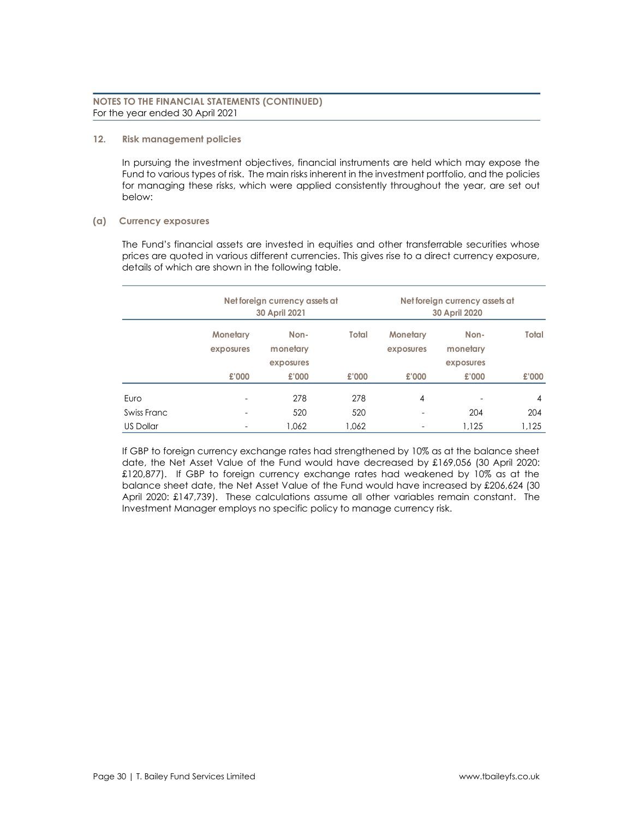# **12. Risk management policies**

In pursuing the investment objectives, financial instruments are held which may expose the Fund to various types of risk. The main risks inherent in the investment portfolio, and the policies for managing these risks, which were applied consistently throughout the year, are set out below:

# **(a) Currency exposures**

The Fund's financial assets are invested in equities and other transferrable securities whose prices are quoted in various different currencies. This gives rise to a direct currency exposure, details of which are shown in the following table.

|                  | Net foreign currency assets at<br><b>30 April 2021</b> |                  | Net foreign currency assets at<br>30 April 2020 |                              |                  |                |
|------------------|--------------------------------------------------------|------------------|-------------------------------------------------|------------------------------|------------------|----------------|
|                  | <b>Monetary</b><br>exposures                           | Non-<br>monetary | Total                                           | <b>Monetary</b><br>exposures | Non-<br>monetary | Total          |
|                  |                                                        | exposures        |                                                 |                              | exposures        |                |
|                  | £'000                                                  | £'000            | £'000                                           | £'000                        | £'000            | £'000          |
| Euro             | ۰                                                      | 278              | 278                                             | 4                            |                  | $\overline{4}$ |
| Swiss Franc      | ٠                                                      | 520              | 520                                             | ٠                            | 204              | 204            |
| <b>US Dollar</b> |                                                        | 1.062            | 1.062                                           | ٠                            | 1.125            | 1.125          |

If GBP to foreign currency exchange rates had strengthened by 10% as at the balance sheet date, the Net Asset Value of the Fund would have decreased by £169,056 (30 April 2020: £120,877). If GBP to foreign currency exchange rates had weakened by 10% as at the balance sheet date, the Net Asset Value of the Fund would have increased by £206,624 (30 April 2020: £147,739). These calculations assume all other variables remain constant. The Investment Manager employs no specific policy to manage currency risk.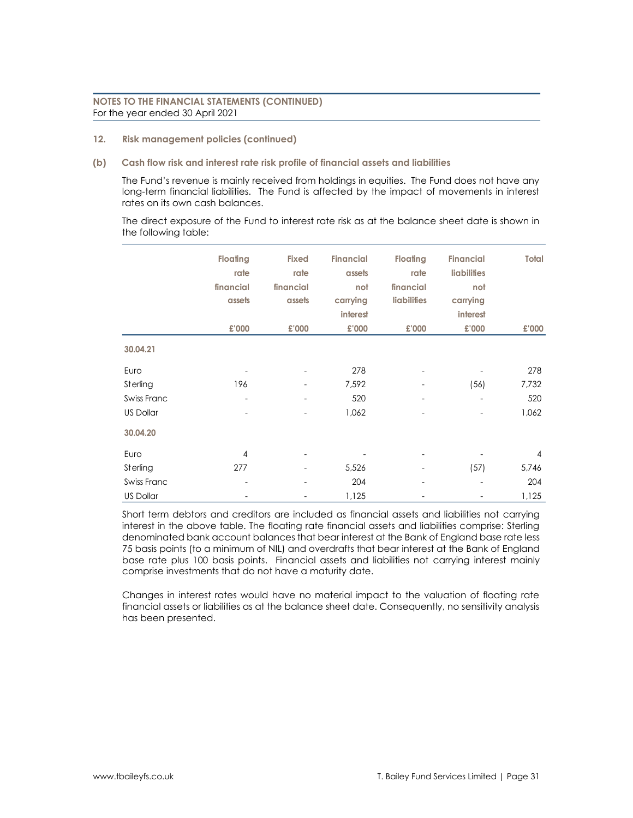**12. Risk management policies (continued)**

# **(b) Cash flow risk and interest rate risk profile of financial assets and liabilities**

The Fund's revenue is mainly received from holdings in equities. The Fund does not have any long-term financial liabilities. The Fund is affected by the impact of movements in interest rates on its own cash balances.

The direct exposure of the Fund to interest rate risk as at the balance sheet date is shown in the following table:

|                  | <b>Floating</b> | <b>Fixed</b>             | <b>Financial</b> | <b>Floating</b>    | <b>Financial</b>   | Total          |
|------------------|-----------------|--------------------------|------------------|--------------------|--------------------|----------------|
|                  |                 |                          |                  |                    |                    |                |
|                  | rate            | rate                     | assets           | rate               | <b>liabilities</b> |                |
|                  | financial       | financial                | not              | financial          | not                |                |
|                  | assets          | assets                   | carrying         | <b>liabilities</b> | carrying           |                |
|                  |                 |                          | <b>interest</b>  |                    | interest           |                |
|                  | £'000           | £'000                    | £'000            | £'000              | £'000              | £'000          |
| 30.04.21         |                 |                          |                  |                    |                    |                |
| Euro             |                 | $\overline{\phantom{a}}$ | 278              |                    |                    | 278            |
| Sterling         | 196             | ۰                        | 7,592            |                    | (56)               | 7,732          |
| Swiss Franc      | ٠               | $\overline{\phantom{a}}$ | 520              |                    | ٠                  | 520            |
| US Dollar        |                 | ٠                        | 1,062            |                    | -                  | 1,062          |
| 30.04.20         |                 |                          |                  |                    |                    |                |
| Euro             | $\overline{4}$  |                          |                  |                    |                    | $\overline{4}$ |
| Sterling         | 277             | ۰                        | 5,526            |                    | (57)               | 5,746          |
| Swiss Franc      | ۰               | ٠                        | 204              | ۰                  | -                  | 204            |
| <b>US Dollar</b> | ٠               | ۰                        | 1,125            | -                  | ٠                  | 1,125          |

Short term debtors and creditors are included as financial assets and liabilities not carrying interest in the above table. The floating rate financial assets and liabilities comprise: Sterling denominated bank account balances that bear interest at the Bank of England base rate less 75 basis points (to a minimum of NIL) and overdrafts that bear interest at the Bank of England base rate plus 100 basis points. Financial assets and liabilities not carrying interest mainly comprise investments that do not have a maturity date.

Changes in interest rates would have no material impact to the valuation of floating rate financial assets or liabilities as at the balance sheet date. Consequently, no sensitivity analysis has been presented.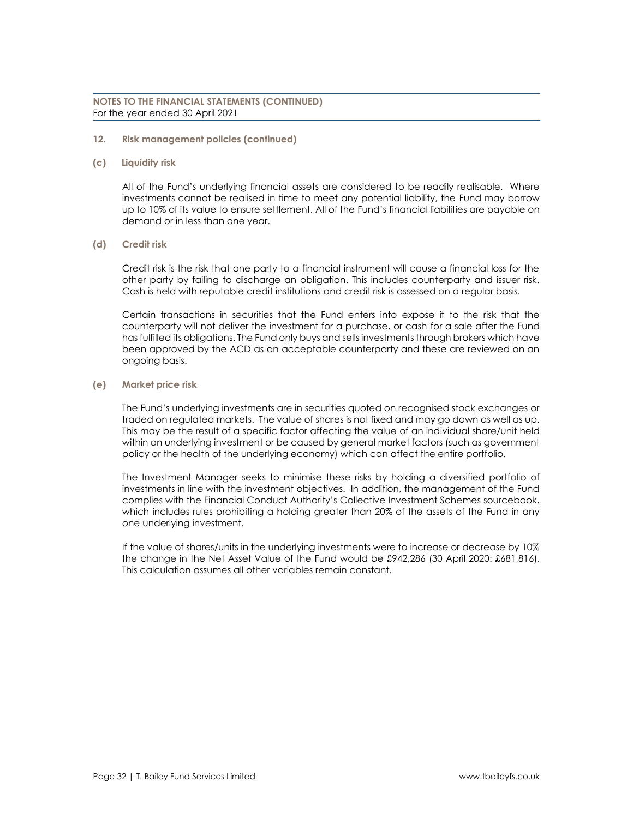- **12. Risk management policies (continued)**
- **(c) Liquidity risk**

All of the Fund's underlying financial assets are considered to be readily realisable. Where investments cannot be realised in time to meet any potential liability, the Fund may borrow up to 10% of its value to ensure settlement. All of the Fund's financial liabilities are payable on demand or in less than one year.

# **(d) Credit risk**

Credit risk is the risk that one party to a financial instrument will cause a financial loss for the other party by failing to discharge an obligation. This includes counterparty and issuer risk. Cash is held with reputable credit institutions and credit risk is assessed on a regular basis.

Certain transactions in securities that the Fund enters into expose it to the risk that the counterparty will not deliver the investment for a purchase, or cash for a sale after the Fund has fulfilled its obligations. The Fund only buys and sells investments through brokers which have been approved by the ACD as an acceptable counterparty and these are reviewed on an ongoing basis.

# **(e) Market price risk**

The Fund's underlying investments are in securities quoted on recognised stock exchanges or traded on regulated markets. The value of shares is not fixed and may go down as well as up. This may be the result of a specific factor affecting the value of an individual share/unit held within an underlying investment or be caused by general market factors (such as government policy or the health of the underlying economy) which can affect the entire portfolio.

The Investment Manager seeks to minimise these risks by holding a diversified portfolio of investments in line with the investment objectives. In addition, the management of the Fund complies with the Financial Conduct Authority's Collective Investment Schemes sourcebook, which includes rules prohibiting a holding greater than 20% of the assets of the Fund in any one underlying investment.

If the value of shares/units in the underlying investments were to increase or decrease by 10% the change in the Net Asset Value of the Fund would be £942,286 (30 April 2020: £681,816). This calculation assumes all other variables remain constant.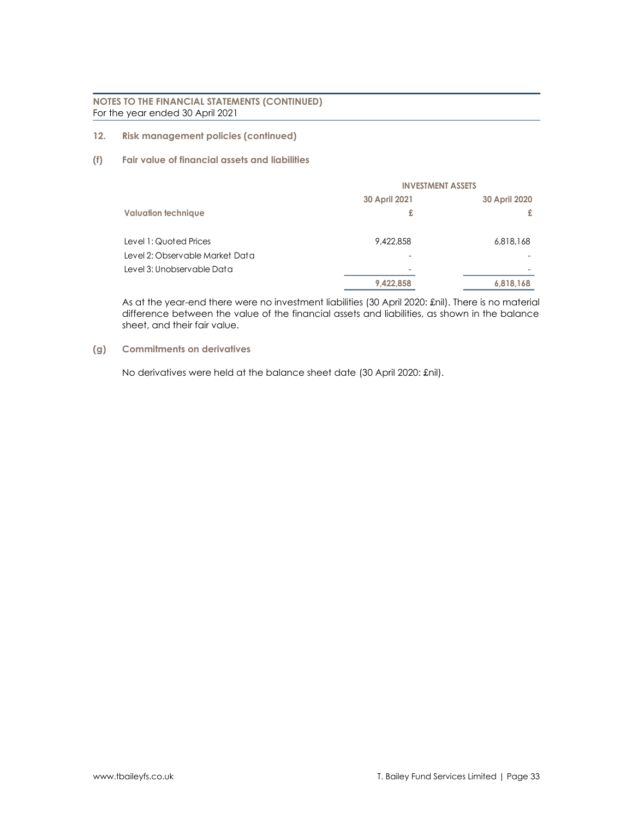- **12. Risk management policies (continued)**
- **(f) Fair value of financial assets and liabilities**

|                                 | <b>INVESTMENT ASSETS</b> |               |  |
|---------------------------------|--------------------------|---------------|--|
|                                 | 30 April 2021            | 30 April 2020 |  |
| <b>Valuation technique</b>      | £                        | £             |  |
| Level 1: Quoted Prices          | 9,422,858                | 6,818,168     |  |
| Level 2: Observable Market Data |                          |               |  |
| Level 3: Unobservable Data      |                          |               |  |
|                                 | 9,422,858                | 6,818,168     |  |

As at the year-end there were no investment liabilities (30 April 2020: £nil). There is no material difference between the value of the financial assets and liabilities, as shown in the balance sheet, and their fair value.

# **(g) Commitments on derivatives**

No derivatives were held at the balance sheet date (30 April 2020: £nil).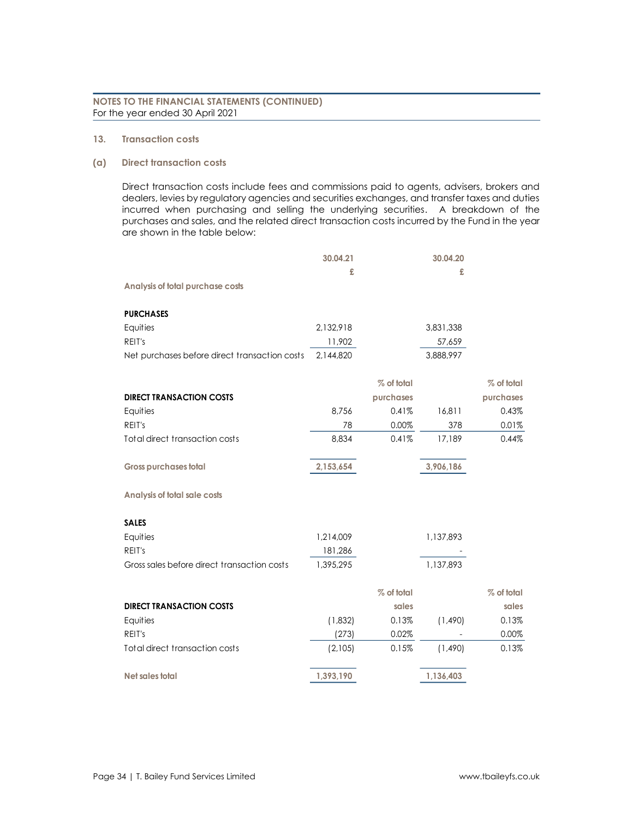# **13. Transaction costs**

#### **(a) Direct transaction costs**

Direct transaction costs include fees and commissions paid to agents, advisers, brokers and dealers, levies by regulatory agencies and securities exchanges, and transfer taxes and duties incurred when purchasing and selling the underlying securities. A breakdown of the purchases and sales, and the related direct transaction costs incurred by the Fund in the year are shown in the table below:

|                                               | 30.04.21  |            | 30.04.20  |            |
|-----------------------------------------------|-----------|------------|-----------|------------|
|                                               | £         |            | £         |            |
| Analysis of total purchase costs              |           |            |           |            |
| <b>PURCHASES</b>                              |           |            |           |            |
| Equities                                      | 2,132,918 |            | 3,831,338 |            |
| REIT's                                        | 11,902    |            | 57,659    |            |
| Net purchases before direct transaction costs | 2,144,820 |            | 3,888,997 |            |
|                                               |           | % of total |           | % of total |
| <b>DIRECT TRANSACTION COSTS</b>               |           | purchases  |           | purchases  |
| Equities                                      | 8,756     | 0.41%      | 16,811    | 0.43%      |
| REIT's                                        | 78        | 0.00%      | 378       | 0.01%      |
| Total direct transaction costs                | 8,834     | 0.41%      | 17,189    | 0.44%      |
| <b>Gross purchases total</b>                  | 2,153,654 |            | 3,906,186 |            |
|                                               |           |            |           |            |
| <b>Analysis of total sale costs</b>           |           |            |           |            |
| <b>SALES</b>                                  |           |            |           |            |
| Equities                                      | 1,214,009 |            | 1,137,893 |            |
| REIT's                                        | 181,286   |            |           |            |
| Gross sales before direct transaction costs   | 1,395,295 |            | 1,137,893 |            |
|                                               |           | % of total |           | % of total |
| <b>DIRECT TRANSACTION COSTS</b>               |           | sales      |           | sales      |
| Equities                                      | (1,832)   | 0.13%      | (1,490)   | 0.13%      |
| REIT's                                        | (273)     | 0.02%      |           | 0.00%      |
| Total direct transaction costs                | (2,105)   | 0.15%      | (1,490)   | 0.13%      |
| Net sales total                               | 1,393,190 |            | 1,136,403 |            |
|                                               |           |            |           |            |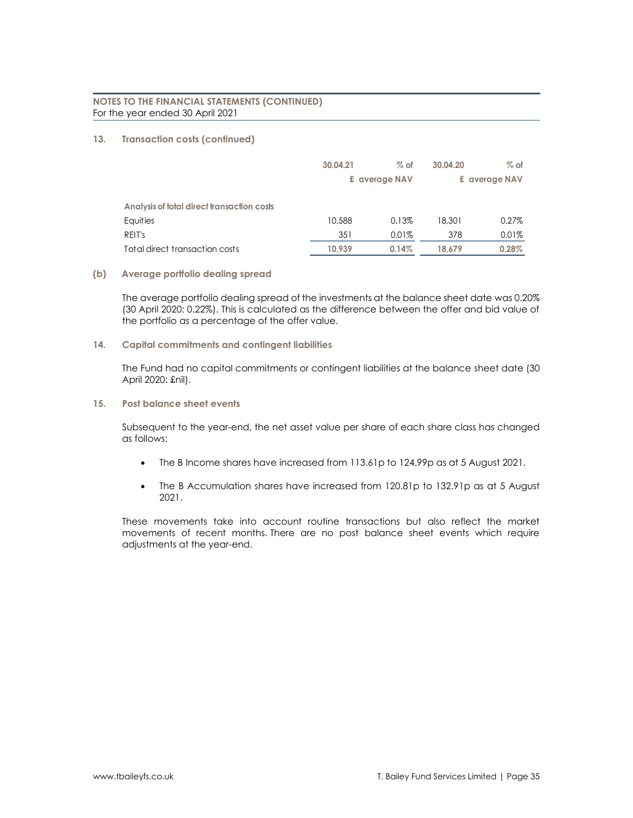# **13. Transaction costs (continued)**

|                                            | 30.04.21 | $%$ of        | 30.04.20 | $%$ of        |
|--------------------------------------------|----------|---------------|----------|---------------|
|                                            |          | £ average NAV |          | £ average NAV |
| Analysis of total direct transaction costs |          |               |          |               |
| Equities                                   | 10,588   | 0.13%         | 18,301   | 0.27%         |
| REIT's                                     | 351      | 0.01%         | 378      | 0.01%         |
| Total direct transaction costs             | 10.939   | 0.14%         | 18.679   | 0.28%         |

# **(b) Average portfolio dealing spread**

The average portfolio dealing spread of the investments at the balance sheet date was 0.20% (30 April 2020: 0.22%). This is calculated as the difference between the offer and bid value of the portfolio as a percentage of the offer value.

# **14. Capital commitments and contingent liabilities**

The Fund had no capital commitments or contingent liabilities at the balance sheet date (30 April 2020: £nil).

**15. Post balance sheet events**

Subsequent to the year-end, the net asset value per share of each share class has changed as follows:

- The B Income shares have increased from 113.61p to 124.99p as at 5 August 2021.
- The B Accumulation shares have increased from 120.81p to 132.91p as at 5 August 2021.

These movements take into account routine transactions but also reflect the market movements of recent months. There are no post balance sheet events which require adjustments at the year-end.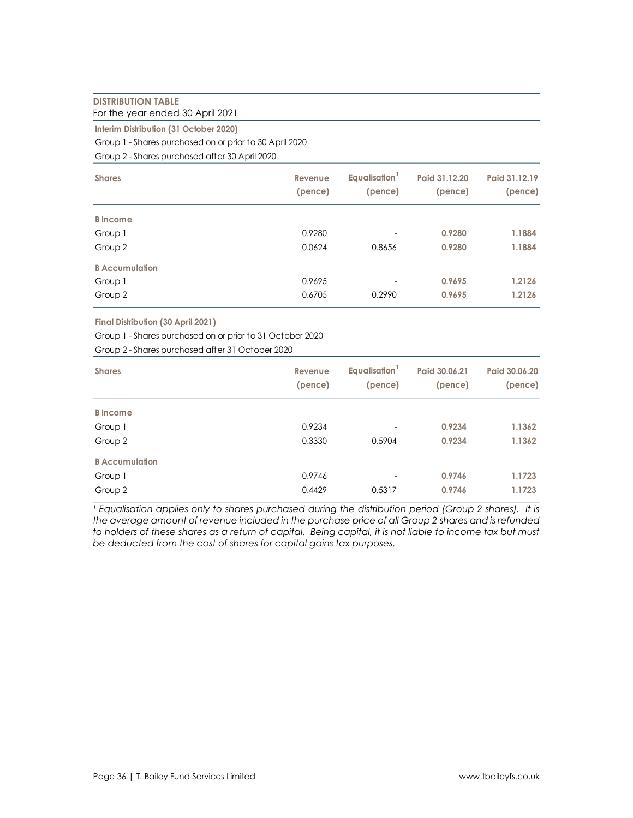# **DISTRIBUTION TABLE**

For the year ended 30 April 2021

**Interim Distribution (31 October 2020)**

Group 1 - Shares purchased on or prior to 30 April 2020

Group 2 - Shares purchased after 30 April 2020

| <b>Shares</b>         | Revenue<br>(pence) | Equalisation <sup>1</sup><br>(pence) | Paid 31.12.20<br>(pence) | Paid 31.12.19<br>(pence) |
|-----------------------|--------------------|--------------------------------------|--------------------------|--------------------------|
| <b>B</b> Income       |                    |                                      |                          |                          |
| Group 1               | 0.9280             | $\overline{\phantom{a}}$             | 0.9280                   | 1.1884                   |
| Group 2               | 0.0624             | 0.8656                               | 0.9280                   | 1.1884                   |
| <b>B</b> Accumulation |                    |                                      |                          |                          |
| Group 1               | 0.9695             | $\overline{\phantom{a}}$             | 0.9695                   | 1.2126                   |
| Group 2               | 0.6705             | 0.2990                               | 0.9695                   | 1.2126                   |

**Final Distribution (30 April 2021)**

Group 1 - Shares purchased on or prior to 31 October 2020

Group 2 - Shares purchased after 31 October 2020

| <b>Shares</b>         | Revenue<br>(pence) | Equalisation <sup>1</sup><br>(pence) | Paid 30.06.21<br>(pence) | Paid 30.06.20<br>(pence) |
|-----------------------|--------------------|--------------------------------------|--------------------------|--------------------------|
| <b>B</b> Income       |                    |                                      |                          |                          |
| Group 1               | 0.9234             | $\overline{\phantom{m}}$             | 0.9234                   | 1.1362                   |
| Group 2               | 0.3330             | 0.5904                               | 0.9234                   | 1.1362                   |
| <b>B</b> Accumulation |                    |                                      |                          |                          |
| Group 1               | 0.9746             | $\overline{\phantom{m}}$             | 0.9746                   | 1.1723                   |
| Group 2               | 0.4429             | 0.5317                               | 0.9746                   | 1.1723                   |

<sup>1</sup> Equalisation applies only to shares purchased during the distribution period (Group 2 shares). It is *the average amount of revenue included in the purchase price of all Group 2 shares and is refunded to holders of these shares as a return of capital. Being capital, it is not liable to income tax but must be deducted from the cost of shares for capital gains tax purposes.*